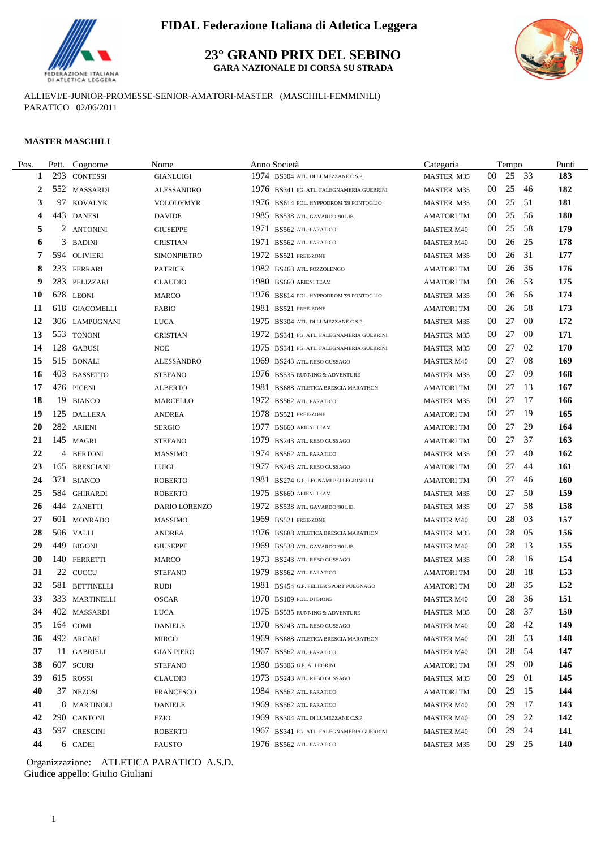

**23° GRAND PRIX DEL SEBINO GARA NAZIONALE DI CORSA SU STRADA**



ALLIEVI/E-JUNIOR-PROMESSE-SENIOR-AMATORI-MASTER (MASCHILI-FEMMINILI) PARATICO 02/06/2011

#### **MASTER MASCHILI**

 $\overline{a}$ 

| Pos. | Pett. | Cognome         | Nome               | Anno Società                              | Categoria         |                 | Tempo |      | Punti      |
|------|-------|-----------------|--------------------|-------------------------------------------|-------------------|-----------------|-------|------|------------|
| 1    | 293   | <b>CONTESSI</b> | <b>GIANLUIGI</b>   | 1974 BS304 ATL. DI LUMEZZANE C.S.P.       | MASTER M35        | 00              | 25 33 |      | 183        |
| 2    |       | 552 MASSARDI    | <b>ALESSANDRO</b>  | 1976 BS341 FG. ATL. FALEGNAMERIA GUERRINI | MASTER M35        | $00\,$          | 25    | -46  | 182        |
| 3    | 97    | KOVALYK         | <b>VOLODYMYR</b>   | 1976 BS614 POL. HYPPODROM '99 PONTOGLIO   | <b>MASTER M35</b> | 00              | 25    | -51  | 181        |
| 4    |       | 443 DANESI      | <b>DAVIDE</b>      | 1985 BS538 ATL. GAVARDO '90 LIB.          | <b>AMATORI TM</b> | $00\,$          | 25    | -56  | <b>180</b> |
| 5    |       | 2 ANTONINI      | <b>GIUSEPPE</b>    | 1971 BS562 ATL. PARATICO                  | <b>MASTER M40</b> | 00              | 25    | 58   | 179        |
| 6    |       | 3 BADINI        | <b>CRISTIAN</b>    | 1971 BS562 ATL. PARATICO                  | <b>MASTER M40</b> | 00              | 26    | 25   | 178        |
| 7    |       | 594 OLIVIERI    | <b>SIMONPIETRO</b> | 1972 BS521 FREE-ZONE                      | <b>MASTER M35</b> | 00              | 26    | 31   | 177        |
| 8    |       | 233 FERRARI     | <b>PATRICK</b>     | 1982 BS463 ATL. POZZOLENGO                | <b>AMATORI TM</b> | 00              | 26    | 36   | 176        |
| 9    |       | 283 PELIZZARI   | <b>CLAUDIO</b>     | 1980 BS660 ARIENI TEAM                    | <b>AMATORI TM</b> | $00\,$          | 26    | -53  | 175        |
| 10   |       | 628 LEONI       | <b>MARCO</b>       | 1976 BS614 POL. HYPPODROM '99 PONTOGLIO   | <b>MASTER M35</b> | 00              | 26    | -56  | 174        |
| 11   |       | 618 GIACOMELLI  | <b>FABIO</b>       | 1981 BS521 FREE-ZONE                      | <b>AMATORI TM</b> | 00              | 26    | -58  | 173        |
| 12   |       | 306 LAMPUGNANI  | <b>LUCA</b>        | 1975 BS304 ATL. DI LUMEZZANE C.S.P.       | <b>MASTER M35</b> | 00              | 27    | -00  | 172        |
| 13   |       | 553 TONONI      | <b>CRISTIAN</b>    | 1972 BS341 FG. ATL. FALEGNAMERIA GUERRINI | MASTER M35        | 00              | 27    | -00  | 171        |
| 14   |       | 128 GABUSI      | <b>NOE</b>         | 1975 BS341 FG. ATL. FALEGNAMERIA GUERRINI | <b>MASTER M35</b> | 00              | 27    | 02   | 170        |
| 15   |       | 515 BONALI      | <b>ALESSANDRO</b>  | 1969 BS243 ATL. REBO GUSSAGO              | <b>MASTER M40</b> | 00              | 27    | -08  | 169        |
| 16   |       | 403 BASSETTO    | <b>STEFANO</b>     | 1976 BS535 RUNNING & ADVENTURE            | <b>MASTER M35</b> | 00              | 27    | -09  | 168        |
| 17   |       | 476 PICENI      | <b>ALBERTO</b>     | 1981 BS688 ATLETICA BRESCIA MARATHON      | <b>AMATORITM</b>  | 00              | 27    | - 13 | 167        |
| 18   |       | 19 BIANCO       | <b>MARCELLO</b>    | 1972 BS562 ATL. PARATICO                  | <b>MASTER M35</b> | 00              | 27    | -17  | 166        |
| 19   |       | 125 DALLERA     | <b>ANDREA</b>      | 1978 BS521 FREE-ZONE                      | <b>AMATORITM</b>  | 00              | 27    | -19  | 165        |
| 20   |       | 282 ARIENI      | <b>SERGIO</b>      | 1977 BS660 ARIENI TEAM                    | <b>AMATORI TM</b> | 00              | 27    | 29   | 164        |
| 21   |       | 145 MAGRI       | <b>STEFANO</b>     | 1979 BS243 ATL. REBO GUSSAGO              | <b>AMATORI TM</b> | 00              | 27    | 37   | 163        |
| 22   |       | 4 BERTONI       | <b>MASSIMO</b>     | 1974 BS562 ATL. PARATICO                  | <b>MASTER M35</b> | 00              | 27    | -40  | 162        |
| 23   |       | 165 BRESCIANI   | <b>LUIGI</b>       | 1977 BS243 ATL. REBO GUSSAGO              | <b>AMATORI TM</b> | 00              | 27    | -44  | 161        |
| 24   |       | 371 BIANCO      | <b>ROBERTO</b>     | 1981 BS274 G.P. LEGNAMI PELLEGRINELLI     | <b>AMATORI TM</b> | 00              | 27    | -46  | 160        |
| 25   |       | 584 GHIRARDI    | <b>ROBERTO</b>     | 1975 BS660 ARIENI TEAM                    | MASTER M35        | 00              | 27    | 50   | 159        |
| 26   |       | 444 ZANETTI     | DARIO LORENZO      | 1972 BS538 ATL. GAVARDO '90 LIB.          | <b>MASTER M35</b> | 00              | 27    | -58  | 158        |
| 27   |       | 601 MONRADO     | <b>MASSIMO</b>     | 1969 BS521 FREE-ZONE                      | <b>MASTER M40</b> | 00              | 28    | 03   | 157        |
| 28   |       | 506 VALLI       | <b>ANDREA</b>      | 1976 BS688 ATLETICA BRESCIA MARATHON      | MASTER M35        | 00              | 28    | -05  | 156        |
| 29   |       | 449 BIGONI      | <b>GIUSEPPE</b>    | 1969 BS538 ATL. GAVARDO '90 LIB.          | <b>MASTER M40</b> | 00              | 28    | -13  | 155        |
| 30   |       | 140 FERRETTI    | <b>MARCO</b>       | 1973 BS243 ATL. REBO GUSSAGO              | MASTER M35        | 00              | 28    | -16  | 154        |
| 31   |       | 22 CUCCU        | <b>STEFANO</b>     | 1979 BS562 ATL. PARATICO                  | <b>AMATORITM</b>  | $00\,$          | 28    | -18  | 153        |
| 32   |       | 581 BETTINELLI  | <b>RUDI</b>        | 1981 BS454 G.P. FELTER SPORT PUEGNAGO     | <b>AMATORI TM</b> | 00              | 28    | 35   | 152        |
| 33   |       | 333 MARTINELLI  | <b>OSCAR</b>       | $1970$ BS109 POL. DI BIONE                | <b>MASTER M40</b> | 00              | 28    | 36   | 151        |
| 34   |       | 402 MASSARDI    | LUCA               | 1975 BS535 RUNNING & ADVENTURE            | MASTER M35        | $00\,$          | 28 37 |      | 150        |
| 35   |       | 164 COMI        | <b>DANIELE</b>     | 1970 BS243 ATL. REBO GUSSAGO              | <b>MASTER M40</b> | $00\,$          | 28    | -42  | 149        |
| 36   |       | 492 ARCARI      | MIRCO              | 1969 BS688 ATLETICA BRESCIA MARATHON      | <b>MASTER M40</b> | 00              | 28    | -53  | 148        |
| 37   |       | 11 GABRIELI     | <b>GIAN PIERO</b>  | 1967 BS562 ATL. PARATICO                  | <b>MASTER M40</b> | 00              | 28    | -54  | 147        |
| 38   |       | 607 SCURI       | <b>STEFANO</b>     | 1980 BS306 G.P. ALLEGRINI                 | <b>AMATORI TM</b> | 00              | 29    | -00  | 146        |
| 39   |       | 615 ROSSI       | <b>CLAUDIO</b>     | 1973 BS243 ATL. REBO GUSSAGO              | MASTER M35        | $00\,$          | 29    | 01   | 145        |
| 40   |       | 37 NEZOSI       | <b>FRANCESCO</b>   | 1984 BS562 ATL. PARATICO                  | <b>AMATORI TM</b> | $00\,$          | 29    | -15  | 144        |
| 41   |       | 8 MARTINOLI     | <b>DANIELE</b>     | 1969 BS562 ATL. PARATICO                  | <b>MASTER M40</b> | 00              | 29    | 17   | 143        |
| 42   |       | 290 CANTONI     | <b>EZIO</b>        | 1969 BS304 ATL. DI LUMEZZANE C.S.P.       | <b>MASTER M40</b> | 00              | 29    | 22   | 142        |
| 43   |       | 597 CRESCINI    | <b>ROBERTO</b>     | 1967 BS341 FG. ATL. FALEGNAMERIA GUERRINI | <b>MASTER M40</b> | 00              | 29    | 24   | 141        |
| 44   |       | 6 CADEI         | <b>FAUSTO</b>      | 1976 BS562 ATL. PARATICO                  | MASTER M35        | 00 <sup>1</sup> | 29    | 25   | 140        |
|      |       |                 |                    |                                           |                   |                 |       |      |            |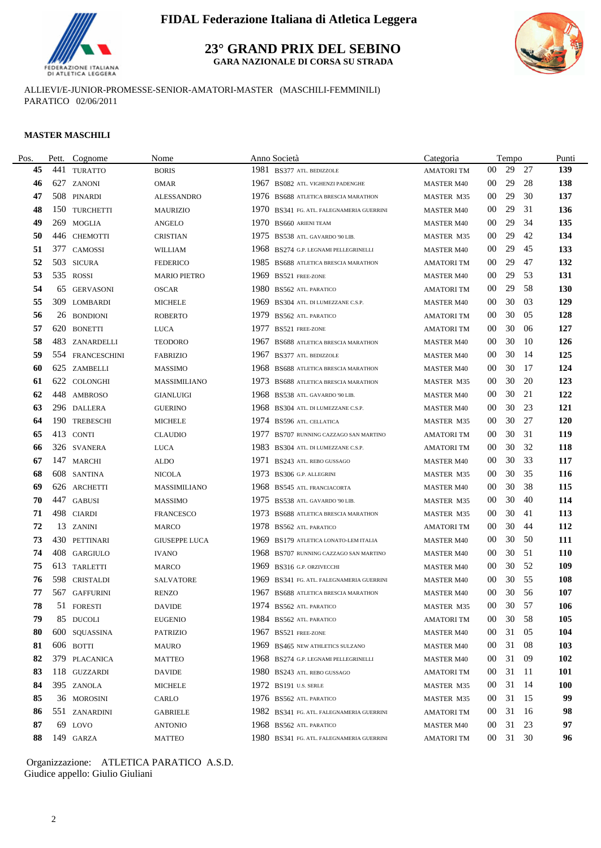

**23° GRAND PRIX DEL SEBINO**

**GARA NAZIONALE DI CORSA SU STRADA**



ALLIEVI/E-JUNIOR-PROMESSE-SENIOR-AMATORI-MASTER (MASCHILI-FEMMINILI) PARATICO 02/06/2011

#### **MASTER MASCHILI**

| Pos. | Pett. | Cognome          | Nome                 |      | Anno Società                              | Categoria         |                 | Tempo    |      | Punti      |
|------|-------|------------------|----------------------|------|-------------------------------------------|-------------------|-----------------|----------|------|------------|
| 45   | 441   | <b>TURATTO</b>   | <b>BORIS</b>         | 1981 | BS377 ATL. BEDIZZOLE                      | <b>AMATORITM</b>  | $00\,$          | 29       | 27   | 139        |
| 46   |       | 627 ZANONI       | <b>OMAR</b>          | 1967 | BS082 ATL. VIGHENZI PADENGHE              | <b>MASTER M40</b> | $00\,$          | 29       | 28   | 138        |
| 47   |       | 508 PINARDI      | <b>ALESSANDRO</b>    |      | 1976 BS688 ATLETICA BRESCIA MARATHON      | <b>MASTER M35</b> | 00              | 29       | 30   | 137        |
| 48   |       | 150 TURCHETTI    | <b>MAURIZIO</b>      | 1970 | BS341 FG. ATL. FALEGNAMERIA GUERRINI      | <b>MASTER M40</b> | $00\,$          | 29       | 31   | 136        |
| 49   |       | 269 MOGLIA       | ANGELO               |      | 1970 BS660 ARIENI TEAM                    | <b>MASTER M40</b> | $00\,$          | 29       | 34   | 135        |
| 50   |       | 446 CHEMOTTI     | <b>CRISTIAN</b>      |      | 1975 BS538 ATL. GAVARDO '90 LIB.          | <b>MASTER M35</b> | $00\,$          | 29       | 42   | 134        |
| 51   | 377   | CAMOSSI          | WILLIAM              | 1968 | BS274 G.P. LEGNAMI PELLEGRINELLI          | <b>MASTER M40</b> | $00\,$          | 29       | 45   | 133        |
| 52   |       | 503 SICURA       | <b>FEDERICO</b>      |      | 1985 BS688 ATLETICA BRESCIA MARATHON      | AMATORI TM        | $00\,$          | 29       | 47   | 132        |
| 53   |       | 535 ROSSI        | <b>MARIO PIETRO</b>  |      | 1969 BS521 FREE-ZONE                      | <b>MASTER M40</b> | $00\,$          | 29       | 53   | 131        |
| 54   | 65    | <b>GERVASONI</b> | <b>OSCAR</b>         |      | 1980 BS562 ATL PARATICO                   | <b>AMATORITM</b>  | $00\,$          | 29       | 58   | 130        |
| 55   |       | 309 LOMBARDI     | MICHELE              |      | 1969 BS304 ATL. DI LUMEZZANE C.S.P.       | <b>MASTER M40</b> | $00\,$          | 30       | 03   | 129        |
| 56   |       | 26 BONDIONI      | <b>ROBERTO</b>       | 1979 | BS562 ATL. PARATICO                       | <b>AMATORITM</b>  | $00\,$          | 30       | 05   | 128        |
| 57   |       | 620 BONETTI      | <b>LUCA</b>          | 1977 | BS521 FREE-ZONE                           | AMATORI TM        | 00              | 30       | 06   | 127        |
| 58   |       | 483 ZANARDELLI   | <b>TEODORO</b>       | 1967 | BS688 ATLETICA BRESCIA MARATHON           | <b>MASTER M40</b> | 00              | 30       | -10  | 126        |
| 59   |       | 554 FRANCESCHINI | <b>FABRIZIO</b>      | 1967 | BS377 ATL. BEDIZZOLE                      | <b>MASTER M40</b> | $00\,$          | 30       | -14  | 125        |
| 60   |       | 625 ZAMBELLI     | <b>MASSIMO</b>       | 1968 | BS688 ATLETICA BRESCIA MARATHON           | <b>MASTER M40</b> | $00\,$          | 30       | 17   | 124        |
| 61   |       | 622 COLONGHI     | MASSIMILIANO         |      | 1973 BS688 ATLETICA BRESCIA MARATHON      | MASTER M35        | $00\,$          | 30       | 20   | 123        |
| 62   |       | 448 AMBROSO      | <b>GIANLUIGI</b>     | 1968 | BS538 ATL. GAVARDO '90 LIB.               | <b>MASTER M40</b> | 00              | 30       | 21   | 122        |
| 63   |       | 296 DALLERA      | GUERINO              | 1968 | BS304 ATL. DI LUMEZZANE C.S.P.            | <b>MASTER M40</b> | 00              | 30       | 23   | 121        |
| 64   | 190   | <b>TREBESCHI</b> | <b>MICHELE</b>       |      | 1974 BS596 ATL. CELLATICA                 | <b>MASTER M35</b> | $00\,$          | 30       | 27   | <b>120</b> |
| 65   |       | 413 CONTI        | <b>CLAUDIO</b>       | 1977 | BS707 RUNNING CAZZAGO SAN MARTINO         | AMATORI TM        | $00\,$          | 30       | 31   | 119        |
| 66   |       | 326 SVANERA      | <b>LUCA</b>          |      | 1983 BS304 ATL. DI LUMEZZANE C.S.P.       | AMATORI TM        | $00\,$          | 30       | 32   | 118        |
| 67   |       | 147 MARCHI       | <b>ALDO</b>          | 1971 | BS243 ATL. REBO GUSSAGO                   | <b>MASTER M40</b> | 00              | 30       | 33   | 117        |
| 68   |       | 608 SANTINA      | <b>NICOLA</b>        |      | 1973 BS306 G.P. ALLEGRINI                 | <b>MASTER M35</b> | 00              | 30       | 35   | 116        |
| 69   |       | 626 ARCHETTI     | MASSIMILIANO         |      | 1968 BS545 ATL. FRANCIACORTA              | <b>MASTER M40</b> | 00              | 30       | 38   | 115        |
| 70   |       | 447 GABUSI       | <b>MASSIMO</b>       | 1975 | BS538 ATL. GAVARDO '90 LIB.               | <b>MASTER M35</b> | 00              | 30       | 40   | 114        |
| 71   |       | 498 CIARDI       | <b>FRANCESCO</b>     |      | 1973 BS688 ATLETICA BRESCIA MARATHON      | MASTER M35        | $00\,$          | 30       | 41   | 113        |
| 72   |       | 13 ZANINI        | <b>MARCO</b>         |      | 1978 BS562 ATL. PARATICO                  | <b>AMATORI TM</b> | $00\,$          | 30       | 44   | 112        |
| 73   |       | 430 PETTINARI    | <b>GIUSEPPE LUCA</b> | 1969 | BS179 ATLETICA LONATO-LEM ITALIA          | <b>MASTER M40</b> | 00              | 30       | 50   | 111        |
| 74   |       | 408 GARGIULO     | <b>IVANO</b>         | 1968 | BS707 RUNNING CAZZAGO SAN MARTINO         | <b>MASTER M40</b> | 00              | 30       | 51   | <b>110</b> |
| 75   |       | 613 TARLETTI     | <b>MARCO</b>         | 1969 | <b>BS316 G.P. ORZIVECCHI</b>              | <b>MASTER M40</b> | 00              | 30       | 52   | 109        |
| 76   |       | 598 CRISTALDI    | SALVATORE            | 1969 | BS341 FG. ATL. FALEGNAMERIA GUERRINI      | <b>MASTER M40</b> | 00              | 30       | 55   | 108        |
| 77   |       | 567 GAFFURINI    | <b>RENZO</b>         |      | 1967 BS688 ATLETICA BRESCIA MARATHON      | <b>MASTER M40</b> | $00\,$          | 30       | - 56 | 107        |
| 78   |       | 51 FORESTI       | <b>DAVIDE</b>        |      | 1974 BS562 ATL PARATICO                   | MASTER M35        | 00 <sup>1</sup> | 30 57    |      | 106        |
| 79   |       | 85 DUCOLI        | EUGENIO              |      | 1984 BS562 ATL PARATICO                   | AMATORI TM        | 00 <sup>°</sup> | 30       | - 58 | 105        |
| 80   |       | 600 SQUASSINA    | <b>PATRIZIO</b>      |      | 1967 BS521 FREE-ZONE                      | <b>MASTER M40</b> | 00              | 31       | -05  | 104        |
| 81   |       | 606 BOTTI        | MAURO                |      | 1969 BS465 NEW ATHLETICS SULZANO          | <b>MASTER M40</b> | 00              | 31       | 08   | 103        |
| 82   |       | 379 PLACANICA    | <b>MATTEO</b>        |      | 1968 BS274 G.P. LEGNAMI PELLEGRINELLI     | <b>MASTER M40</b> | 00              | 31       | - 09 | 102        |
| 83   |       | 118 GUZZARDI     | <b>DAVIDE</b>        |      | 1980 BS243 ATL. REBO GUSSAGO              | <b>AMATORI TM</b> | 00 <sup>°</sup> | 31 11    |      | <b>101</b> |
| 84   |       | 395 ZANOLA       | <b>MICHELE</b>       |      | 1972 BS191 U.S. SERLE                     | MASTER M35        | 00              | 31 14    |      | <b>100</b> |
| 85   |       | 36 MOROSINI      | CARLO                |      | 1976 BS562 ATL. PARATICO                  | <b>MASTER M35</b> | $00\,$          | 31 15    |      | 99         |
| 86   |       | 551 ZANARDINI    | <b>GABRIELE</b>      |      | 1982 BS341 FG. ATL. FALEGNAMERIA GUERRINI | <b>AMATORI TM</b> | 00              | 31       | - 16 | 98         |
| 87   |       | 69 LOVO          | <b>ANTONIO</b>       |      | 1968 BS562 ATL PARATICO                   | <b>MASTER M40</b> | 00              | 31 23    |      | 97         |
| 88   |       | 149 GARZA        | <b>MATTEO</b>        |      | 1980 BS341 FG. ATL. FALEGNAMERIA GUERRINI | <b>AMATORITM</b>  |                 | 00 31 30 |      | 96         |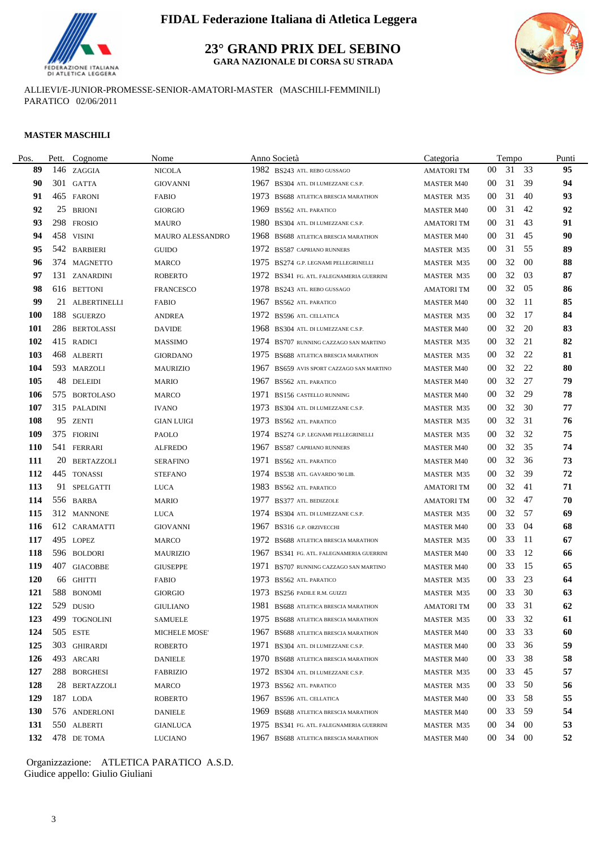

**23° GRAND PRIX DEL SEBINO**

**GARA NAZIONALE DI CORSA SU STRADA**



ALLIEVI/E-JUNIOR-PROMESSE-SENIOR-AMATORI-MASTER (MASCHILI-FEMMINILI) PARATICO 02/06/2011

#### **MASTER MASCHILI**

| Pos.       | Pett. | Cognome         | Nome                |      | Anno Società                              | Categoria         |                 | Tempo    |     | Punti |
|------------|-------|-----------------|---------------------|------|-------------------------------------------|-------------------|-----------------|----------|-----|-------|
| 89         |       | 146 ZAGGIA      | <b>NICOLA</b>       |      | 1982 BS243 ATL. REBO GUSSAGO              | <b>AMATORITM</b>  | 00              | 31 33    |     | 95    |
| 90         |       | 301 GATTA       | <b>GIOVANNI</b>     |      | 1967 BS304 ATL. DI LUMEZZANE C.S.P.       | <b>MASTER M40</b> | 00              | 31       | 39  | 94    |
| 91         |       | 465 FARONI      | <b>FABIO</b>        |      | 1973 BS688 ATLETICA BRESCIA MARATHON      | <b>MASTER M35</b> | 00              | 31       | -40 | 93    |
| 92         | 25    | <b>BRIONI</b>   | <b>GIORGIO</b>      |      | 1969 BS562 ATL. PARATICO                  | <b>MASTER M40</b> | 00              | 31       | 42  | 92    |
| 93         |       | 298 FROSIO      | <b>MAURO</b>        |      | 1980 BS304 ATL. DI LUMEZZANE C.S.P.       | <b>AMATORITM</b>  | $00\,$          | 31       | 43  | 91    |
| 94         |       | 458 VISINI      | MAURO ALESSANDRO    |      | 1968 BS688 ATLETICA BRESCIA MARATHON      | <b>MASTER M40</b> | $00\,$          | 31       | 45  | 90    |
| 95         |       | 542 BARBIERI    | <b>GUIDO</b>        |      | 1972 BS587 CAPRIANO RUNNERS               | <b>MASTER M35</b> | 00              | 31       | 55  | 89    |
| 96         |       | 374 MAGNETTO    | <b>MARCO</b>        |      | 1975 BS274 G.P. LEGNAMI PELLEGRINELLI     | MASTER M35        | 00              | 32       | -00 | 88    |
| 97         |       | 131 ZANARDINI   | <b>ROBERTO</b>      |      | 1972 BS341 FG. ATL. FALEGNAMERIA GUERRINI | MASTER M35        | 00              | 32       | 03  | 87    |
| 98         |       | 616 BETTONI     | <b>FRANCESCO</b>    |      | 1978 BS243 ATL. REBO GUSSAGO              | <b>AMATORI TM</b> | $00\,$          | 32       | 05  | 86    |
| 99         |       | 21 ALBERTINELLI | FABIO               |      | 1967 BS562 ATL. PARATICO                  | <b>MASTER M40</b> | $00\,$          | 32       | -11 | 85    |
| <b>100</b> |       | 188 SGUERZO     | <b>ANDREA</b>       |      | 1972 BS596 ATL CELLATICA                  | MASTER M35        | $00\,$          | 32       | -17 | 84    |
| 101        |       | 286 BERTOLASSI  | <b>DAVIDE</b>       |      | 1968 BS304 ATL. DI LUMEZZANE C.S.P.       | <b>MASTER M40</b> | 00              | 32       | 20  | 83    |
| 102        |       | 415 RADICI      | <b>MASSIMO</b>      |      | 1974 BS707 RUNNING CAZZAGO SAN MARTINO    | <b>MASTER M35</b> | 00              | 32       | 21  | 82    |
| 103        |       | 468 ALBERTI     | <b>GIORDANO</b>     |      | 1975 BS688 ATLETICA BRESCIA MARATHON      | MASTER M35        | 00              | 32       | 22  | 81    |
| 104        |       | 593 MARZOLI     | <b>MAURIZIO</b>     | 1967 | BS659 AVIS SPORT CAZZAGO SAN MARTINO      | <b>MASTER M40</b> | $00\,$          | 32       | 22  | 80    |
| 105        |       | 48 DELEIDI      | <b>MARIO</b>        | 1967 | BS562 ATL. PARATICO                       | <b>MASTER M40</b> | 00              | 32       | 27  | 79    |
| 106        |       | 575 BORTOLASO   | <b>MARCO</b>        | 1971 | BS156 CASTELLO RUNNING                    | <b>MASTER M40</b> | 00              | 32       | 29  | 78    |
| 107        |       | 315 PALADINI    | <b>IVANO</b>        | 1973 | BS304 ATL. DI LUMEZZANE C.S.P.            | <b>MASTER M35</b> | $00\,$          | 32       | 30  | 77    |
| 108        | 95    | <b>ZENTI</b>    | <b>GIAN LUIGI</b>   |      | 1973 BS562 ATL. PARATICO                  | MASTER M35        | 00              | 32       | 31  | 76    |
| 109        |       | 375 FIORINI     | PAOLO               |      | 1974 BS274 G.P. LEGNAMI PELLEGRINELLI     | <b>MASTER M35</b> | $00\,$          | 32       | 32  | 75    |
| <b>110</b> |       | 541 FERRARI     | <b>ALFREDO</b>      |      | 1967 BS587 CAPRIANO RUNNERS               | <b>MASTER M40</b> | $00\,$          | 32       | 35  | 74    |
| 111        |       | 20 BERTAZZOLI   | <b>SERAFINO</b>     | 1971 | <b>BS562 ATL PARATICO</b>                 | <b>MASTER M40</b> | $00\,$          | 32       | 36  | 73    |
| 112        |       | 445 TONASSI     | <b>STEFANO</b>      |      | 1974 BS538 ATL. GAVARDO '90 LIB.          | <b>MASTER M35</b> | $00\,$          | 32       | 39  | 72    |
| 113        |       | 91 SPELGATTI    | LUCA                |      | 1983 BS562 ATL. PARATICO                  | <b>AMATORI TM</b> | $00\,$          | 32       | -41 | 71    |
| 114        |       | 556 BARBA       | <b>MARIO</b>        | 1977 | BS377 ATL. BEDIZZOLE                      | AMATORI TM        | $00\,$          | 32       | 47  | 70    |
| 115        |       | 312 MANNONE     | <b>LUCA</b>         |      | 1974 BS304 ATL. DI LUMEZZANE C.S.P.       | <b>MASTER M35</b> | $00\,$          | 32       | 57  | 69    |
| 116        |       | 612 CARAMATTI   | <b>GIOVANNI</b>     | 1967 | <b>BS316 G.P. ORZIVECCHI</b>              | <b>MASTER M40</b> | $00\,$          | 33       | -04 | 68    |
| 117        |       | 495 LOPEZ       | <b>MARCO</b>        |      | 1972 BS688 ATLETICA BRESCIA MARATHON      | <b>MASTER M35</b> | $00\,$          | 33       | -11 | 67    |
| 118        |       | 596 BOLDORI     | <b>MAURIZIO</b>     |      | 1967 BS341 FG. ATL. FALEGNAMERIA GUERRINI | <b>MASTER M40</b> | 00              | 33       | -12 | 66    |
| 119        |       | 407 GIACOBBE    | <b>GIUSEPPE</b>     | 1971 | BS707 RUNNING CAZZAGO SAN MARTINO         | <b>MASTER M40</b> | 00              | 33       | 15  | 65    |
| 120        |       | 66 GHITTI       | <b>FABIO</b>        |      | 1973 BS562 ATL PARATICO                   | <b>MASTER M35</b> | $00\,$          | 33       | 23  | 64    |
| 121        |       | 588 BONOMI      | <b>GIORGIO</b>      |      | 1973 BS256 PADILE R.M. GUIZZI             | MASTER M35        | 00              | 33       | 30  | 63    |
| 122        |       | 529 DUSIO       | GIULIANO            |      | 1981 BS688 ATLETICA BRESCIA MARATHON      | <b>AMATORITM</b>  |                 | 00 33 31 |     | 62    |
| 123        |       | 499 TOGNOLINI   | SAMUELE             |      | 1975 BS688 ATLETICA BRESCIA MARATHON      | <b>MASTER M35</b> | 00 <sup>°</sup> | 33       | 32  | 61    |
| 124        |       | 505 ESTE        | <b>MICHELE MOSE</b> |      | 1967 BS688 ATLETICA BRESCIA MARATHON      | <b>MASTER M40</b> | $00\,$          | 33       | 33  | 60    |
| 125        |       | 303 GHIRARDI    | <b>ROBERTO</b>      |      | 1971 BS304 ATL. DI LUMEZZANE C.S.P.       | <b>MASTER M40</b> | 00              | 33       | 36  | 59    |
| 126        |       | 493 ARCARI      | <b>DANIELE</b>      |      | 1970 BS688 ATLETICA BRESCIA MARATHON      | <b>MASTER M40</b> | $00\,$          | 33       | 38  | 58    |
| 127        |       | 288 BORGHESI    | <b>FABRIZIO</b>     |      | 1972 BS304 ATL. DI LUMEZZANE C.S.P.       | MASTER M35        | 00              | 33       | 45  | 57    |
| 128        |       | 28 BERTAZZOLI   | MARCO               |      | 1973 BS562 ATL PARATICO                   | MASTER M35        | $00\,$          | 33       | 50  | 56    |
| 129        |       | 187 LODA        | ROBERTO             |      | 1967 BS596 ATL. CELLATICA                 | <b>MASTER M40</b> | $00\,$          | 33       | 58  | 55    |
| <b>130</b> |       | 576 ANDERLONI   | <b>DANIELE</b>      |      | 1969 BS688 ATLETICA BRESCIA MARATHON      | MASTER M40        | 00              | 33       | 59  | 54    |
| 131        |       | 550 ALBERTI     | <b>GIANLUCA</b>     |      | 1975 BS341 FG. ATL. FALEGNAMERIA GUERRINI | <b>MASTER M35</b> | 00              | 34       | -00 | 53    |
| 132        |       | 478 DE TOMA     | LUCIANO             |      | 1967 BS688 ATLETICA BRESCIA MARATHON      | <b>MASTER M40</b> |                 | 00 34 00 |     | 52    |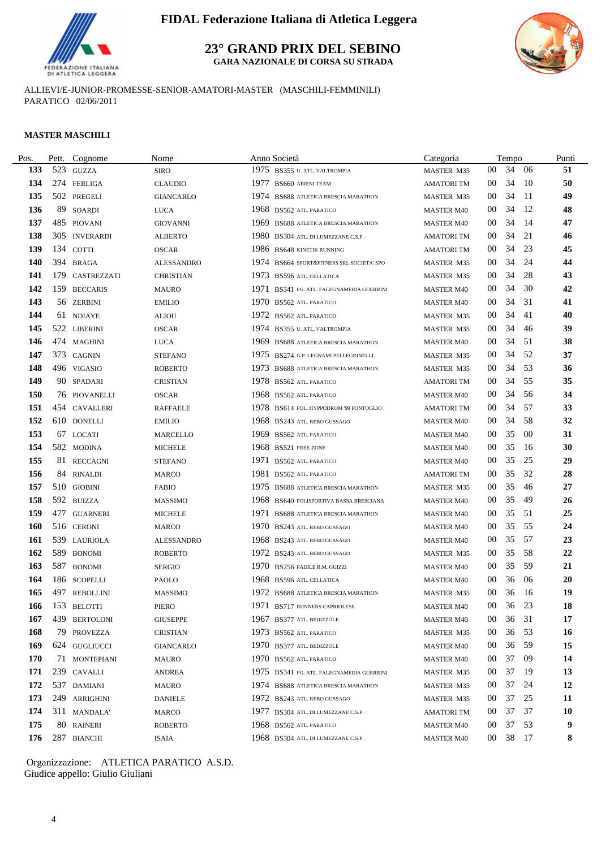

**23° GRAND PRIX DEL SEBINO**

**GARA NAZIONALE DI CORSA SU STRADA**



ALLIEVI/E-JUNIOR-PROMESSE-SENIOR-AMATORI-MASTER (MASCHILI-FEMMINILI) PARATICO 02/06/2011

#### **MASTER MASCHILI**

| Pos.       | Pett. | Cognome         | Nome              |      | Anno Società                              | Categoria         |        | Tempo    |      | Punti     |
|------------|-------|-----------------|-------------------|------|-------------------------------------------|-------------------|--------|----------|------|-----------|
| 133        |       | 523 GUZZA       | <b>SIRO</b>       |      | 1975 BS355 U. ATL. VALTROMPIA             | MASTER M35        | $00\,$ | 34       | - 06 | 51        |
| 134        |       | 274 FERLIGA     | <b>CLAUDIO</b>    | 1977 | BS660 ARIENI TEAM                         | <b>AMATORI TM</b> | $00\,$ | 34       | - 10 | 50        |
| 135        |       | 502 PREGELI     | <b>GIANCARLO</b>  |      | 1974 BS688 ATLETICA BRESCIA MARATHON      | <b>MASTER M35</b> | 00     | 34       | - 11 | 49        |
| 136        |       | 89 SOARDI       | <b>LUCA</b>       |      | 1968 BS562 ATL. PARATICO                  | <b>MASTER M40</b> | 00     | 34       | -12  | 48        |
| 137        |       | 485 PIOVANI     | <b>GIOVANNI</b>   |      | 1969 BS688 ATLETICA BRESCIA MARATHON      | <b>MASTER M40</b> | 00     | 34       | - 14 | 47        |
| 138        |       | 305 INVERARDI   | <b>ALBERTO</b>    |      | 1980 BS304 ATL. DI LUMEZZANE C.S.P.       | <b>AMATORI TM</b> | $00\,$ | 34       | 21   | 46        |
| 139        |       | 134 COTTI       | <b>OSCAR</b>      |      | 1986 BS648 KINETIK RUNNING                | <b>AMATORI TM</b> | 00     | 34       | 23   | 45        |
| 140        |       | 394 BRAGA       | <b>ALESSANDRO</b> |      | 1974 BS664 SPORT&FITNESS SRL SOCIETA' SPO | <b>MASTER M35</b> | $00\,$ | 34       | 24   | 44        |
| 141        | 179   | CASTREZZATI     | <b>CHRISTIAN</b>  |      | 1973 BS596 ATL. CELLATICA                 | <b>MASTER M35</b> | $00\,$ | 34       | 28   | 43        |
| 142        |       | 159 BECCARIS    | <b>MAURO</b>      |      | 1971 BS341 FG. ATL. FALEGNAMERIA GUERRINI | <b>MASTER M40</b> | $00\,$ | 34       | 30   | 42        |
| 143        |       | 56 ZERBINI      | <b>EMILIO</b>     |      | 1970 BS562 ATL. PARATICO                  | <b>MASTER M40</b> | 00     | 34       | 31   | 41        |
| 144        |       | 61 NDIAYE       | ALIOU             |      | 1972 BS562 ATL. PARATICO                  | MASTER M35        | 00     | 34       | -41  | 40        |
| 145        |       | 522 LIBERINI    | <b>OSCAR</b>      |      | 1974 BS355 U. ATL. VALTROMPIA             | <b>MASTER M35</b> | 00     | 34       | 46   | 39        |
| 146        |       | 474 MAGHINI     | <b>LUCA</b>       |      | 1969 BS688 ATLETICA BRESCIA MARATHON      | <b>MASTER M40</b> | 00     | 34       | 51   | 38        |
| 147        |       | 373 CAGNIN      | <b>STEFANO</b>    | 1975 | BS274 G.P. LEGNAMI PELLEGRINELLI          | MASTER M35        | 00     | 34       | 52   | 37        |
| 148        |       | 496 VIGASIO     | <b>ROBERTO</b>    | 1973 | BS688 ATLETICA BRESCIA MARATHON           | MASTER M35        | $00\,$ | 34       | 53   | 36        |
| 149        |       | 90 SPADARI      | <b>CRISTIAN</b>   | 1978 | <b>BS562 ATL. PARATICO</b>                | <b>AMATORI TM</b> | $00\,$ | 34       | 55   | 35        |
| <b>150</b> |       | 76 PIOVANELLI   | OSCAR             | 1968 | <b>BS562 ATL PARATICO</b>                 | <b>MASTER M40</b> | 00     | 34       | 56   | 34        |
| 151        |       | 454 CAVALLERI   | RAFFAELE          | 1978 | BS614 POL. HYPPODROM '99 PONTOGLIO        | <b>AMATORITM</b>  | 00     | 34       | 57   | 33        |
| 152        |       | 610 DONELLI     | <b>EMILIO</b>     |      | 1968 BS243 ATL. REBO GUSSAGO              | <b>MASTER M40</b> | 00     | 34       | 58   | 32        |
| 153        |       | 67 LOCATI       | <b>MARCELLO</b>   |      | 1969 BS562 ATL. PARATICO                  | <b>MASTER M40</b> | $00\,$ | 35       | -00  | 31        |
| 154        |       | 582 MODINA      | MICHELE           |      | 1968 BS521 FREE-ZONE                      | <b>MASTER M40</b> | $00\,$ | 35       | -16  | 30        |
| 155        |       | 81 RECCAGNI     | <b>STEFANO</b>    | 1971 | <b>BS562 ATL PARATICO</b>                 | <b>MASTER M40</b> | $00\,$ | 35       | 25   | 29        |
| 156        |       | 84 RINALDI      | <b>MARCO</b>      | 1981 | <b>BS562 ATL PARATICO</b>                 | AMATORI TM        | $00\,$ | 35       | 32   | 28        |
| 157        |       | 510 GIOBINI     | <b>FABIO</b>      |      | 1975 BS688 ATLETICA BRESCIA MARATHON      | <b>MASTER M35</b> | 00     | 35       | 46   | 27        |
| 158        |       | 592 BUIZZA      | <b>MASSIMO</b>    |      | 1968 BS640 POLISPORTIVA BASSA BRESCIANA   | <b>MASTER M40</b> | $00\,$ | 35       | 49   | 26        |
| 159        |       | 477 GUARNERI    | <b>MICHELE</b>    |      | 1971 BS688 ATLETICA BRESCIA MARATHON      | <b>MASTER M40</b> | $00\,$ | 35       | 51   | 25        |
| <b>160</b> |       | 516 CERONI      | <b>MARCO</b>      |      | 1970 BS243 ATL. REBO GUSSAGO              | <b>MASTER M40</b> | $00\,$ | 35       | 55   | 24        |
| 161        |       | 539 LAURIOLA    | <b>ALESSANDRO</b> |      | 1968 BS243 ATL. REBO GUSSAGO              | <b>MASTER M40</b> | $00\,$ | 35       | 57   | 23        |
| 162        |       | 589 BONOMI      | ROBERTO           |      | 1972 BS243 ATL. REBO GUSSAGO              | <b>MASTER M35</b> | $00\,$ | 35       | 58   | 22        |
| 163        |       | 587 BONOMI      | <b>SERGIO</b>     |      | 1970 BS256 PADILE R.M. GUIZZI             | <b>MASTER M40</b> | 00     | 35       | 59   | 21        |
| 164        |       | 186 SCOPELLI    | PAOLO             |      | 1968 BS596 ATL. CELLATICA                 | <b>MASTER M40</b> | 00     | 36       | 06   | 20        |
| 165        |       | 497 REBOLLINI   | <b>MASSIMO</b>    |      | 1972 BS688 ATLETICA BRESCIA MARATHON      | MASTER M35        | $00\,$ | 36       | - 16 | 19        |
|            |       | 166 153 BELOTTI | PIERO             |      | 1971 BS717 RUNNERS CAPRIOLESE             | <b>MASTER M40</b> |        | 00 36 23 |      | 18        |
| 167        |       | 439 BERTOLONI   | GIUSEPPE          |      | 1967 BS377 ATL. BEDIZZOLE                 | <b>MASTER M40</b> | $00\,$ | 36       | - 31 | 17        |
| 168        |       | 79 PROVEZZA     | <b>CRISTIAN</b>   |      | 1973 BS562 ATL PARATICO                   | MASTER M35        | $00\,$ | 36       | - 53 | 16        |
| 169        |       | 624 GUGLIUCCI   | <b>GIANCARLO</b>  |      | 1970 BS377 ATL. BEDIZZOLE                 | <b>MASTER M40</b> | 00     | 36       | 59   | 15        |
| 170        |       | 71 MONTEPIANI   | MAURO             |      | 1970 BS562 ATL. PARATICO                  | <b>MASTER M40</b> | 00     | 37       | -09  | 14        |
| 171        |       | 239 CAVALLI     | <b>ANDREA</b>     |      | 1975 BS341 FG. ATL. FALEGNAMERIA GUERRINI | MASTER M35        | 00     | 37       | -19  | 13        |
| 172        |       | 537 DAMIANI     | MAURO             |      | 1974 BS688 ATLETICA BRESCIA MARATHON      | MASTER M35        | 00     | 37       | 24   | 12        |
| 173        |       | 249 ARRIGHINI   | <b>DANIELE</b>    |      | 1972 BS243 ATL. REBO GUSSAGO              | MASTER M35        | $00\,$ | 37       | 25   | <b>11</b> |
| 174        |       | 311 MANDALA'    | MARCO             |      | 1977 BS304 ATL. DI LUMEZZANE C.S.P.       | AMATORI TM        | 00     | 37       | 37   | <b>10</b> |
| 175        |       | 80 RAINERI      | <b>ROBERTO</b>    |      | 1968 BS562 ATL PARATICO                   | <b>MASTER M40</b> | 00     | 37 53    |      | 9         |
| 176        |       | 287 BIANCHI     | ISAIA             |      | 1968 BS304 ATL. DI LUMEZZANE C.S.P.       | <b>MASTER M40</b> |        | 00 38 17 |      | 8         |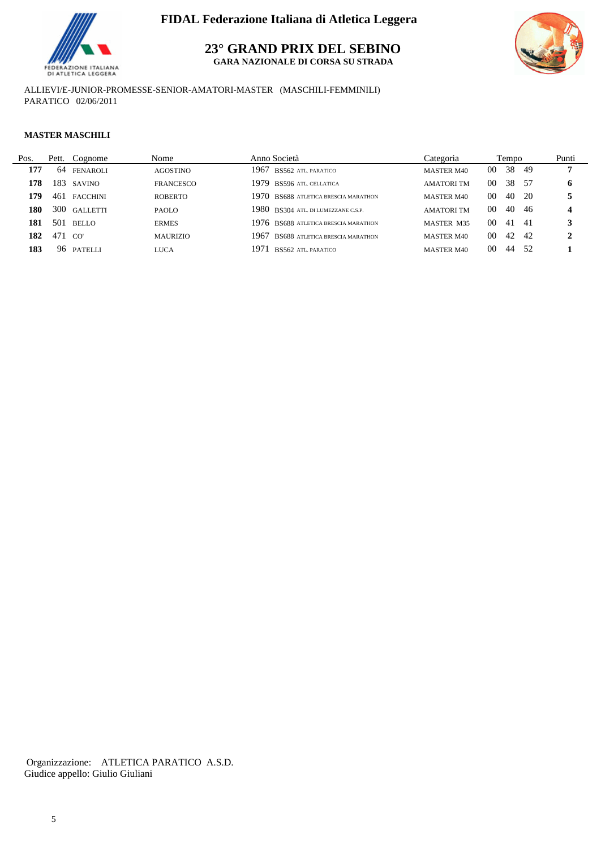

**23° GRAND PRIX DEL SEBINO**

**GARA NAZIONALE DI CORSA SU STRADA**



ALLIEVI/E-JUNIOR-PROMESSE-SENIOR-AMATORI-MASTER (MASCHILI-FEMMINILI) PARATICO 02/06/2011

#### **MASTER MASCHILI**

| Pos. | Pett. | Cognome         | Nome            | Anno Società                            | Categoria         |                 | Tempo |      | Punti |
|------|-------|-----------------|-----------------|-----------------------------------------|-------------------|-----------------|-------|------|-------|
| 177  | 64    | <b>FENAROLI</b> | AGOSTINO        | 1967<br>BS562 ATL PARATICO              | <b>MASTER M40</b> | 00              | 38    | -49  |       |
| 178  |       | 183 SAVINO      | FRANCESCO       | 1979 BS596 ATL CELLATICA                | <b>AMATORITM</b>  | 00              | 38    | -57  | 6     |
| 179  | 461   | <b>FACCHINI</b> | <b>ROBERTO</b>  | 1970 BS688 ATLETICA BRESCIA MARATHON    | <b>MASTER M40</b> | 00 <sup>1</sup> | 40 20 |      |       |
| 180  |       | 300 GALLETTI    | <b>PAOLO</b>    | 1980 BS304 ATL. DI LUMEZZANE C.S.P.     | <b>AMATORITM</b>  | 00 <sup>2</sup> | 40    | -46  | 4     |
| 181  | 501   | BELLO           | <b>ERMES</b>    | 1976 BS688 ATLETICA BRESCIA MARATHON    | MASTER M35        | 00              | -41   | -41  |       |
| 182  | 471   | CO'             | <b>MAURIZIO</b> | 1967<br>BS688 ATLETICA BRESCIA MARATHON | <b>MASTER M40</b> | 00 <sup>1</sup> | - 42  | - 42 |       |
| 183  |       | 96 PATELLI      | LUCA            | 1971<br><b>BS562 ATL. PARATICO</b>      | <b>MASTER M40</b> | 00 <sup>2</sup> | -44   | .52  |       |
|      |       |                 |                 |                                         |                   |                 |       |      |       |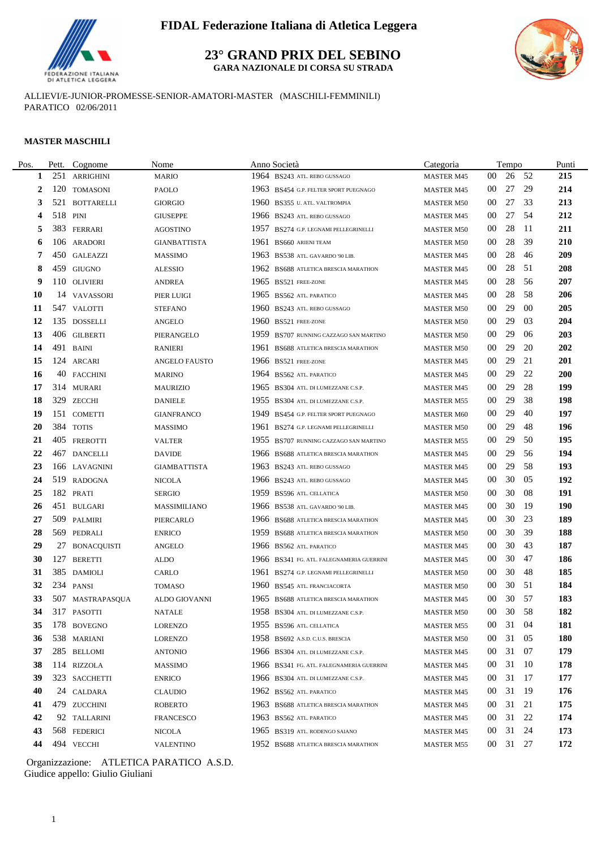

**23° GRAND PRIX DEL SEBINO GARA NAZIONALE DI CORSA SU STRADA**



ALLIEVI/E-JUNIOR-PROMESSE-SENIOR-AMATORI-MASTER (MASCHILI-FEMMINILI) PARATICO 02/06/2011

#### **MASTER MASCHILI**

L.

| Pos. | Pett. | Cognome          | Nome                | Anno Società                              | Categoria         |                 | Tempo    |      | Punti      |
|------|-------|------------------|---------------------|-------------------------------------------|-------------------|-----------------|----------|------|------------|
| 1    | 251   | <b>ARRIGHINI</b> | <b>MARIO</b>        | 1964 BS243 ATL. REBO GUSSAGO              | <b>MASTER M45</b> | 00 <sup>°</sup> | 26 52    |      | 215        |
| 2    |       | 120 TOMASONI     | PAOLO               | 1963 BS454 G.P. FELTER SPORT PUEGNAGO     | <b>MASTER M45</b> | 00              | 27       | 29   | 214        |
| 3    |       | 521 BOTTARELLI   | <b>GIORGIO</b>      | 1960 BS355 U. ATL. VALTROMPIA             | <b>MASTER M50</b> | 00              | 27       | 33   | 213        |
| 4    |       | 518 PINI         | <b>GIUSEPPE</b>     | 1966 BS243 ATL. REBO GUSSAGO              | <b>MASTER M45</b> | 00              | 27       | -54  | 212        |
|      |       | 383 FERRARI      | <b>AGOSTINO</b>     | 1957 BS274 G.P. LEGNAMI PELLEGRINELLI     | <b>MASTER M50</b> | 00              | 28       | -11  | 211        |
| 6    |       | 106 ARADORI      | <b>GIANBATTISTA</b> | 1961 BS660 ARIENI TEAM                    | <b>MASTER M50</b> | 00              | 28       | -39  | 210        |
| 7    |       | 450 GALEAZZI     | <b>MASSIMO</b>      | 1963 BS538 ATL. GAVARDO '90 LIB.          | <b>MASTER M45</b> | 00              | 28       | -46  | 209        |
| 8    |       | 459 GIUGNO       | <b>ALESSIO</b>      | 1962 BS688 ATLETICA BRESCIA MARATHON      | <b>MASTER M45</b> | 00              | 28       | 51   | 208        |
| 9    |       | 110 OLIVIERI     | ANDREA              | 1965 BS521 FREE-ZONE                      | <b>MASTER M45</b> | 00              | 28       | -56  | 207        |
| 10   |       | 14 VAVASSORI     | PIER LUIGI          | 1965 BS562 ATL PARATICO                   | <b>MASTER M45</b> | $00\,$          | 28       | -58  | 206        |
| 11   |       | 547 VALOTTI      | <b>STEFANO</b>      | 1960 BS243 ATL. REBO GUSSAGO              | <b>MASTER M50</b> | 00              | 29       | 00   | 205        |
| 12   |       | 135 DOSSELLI     | <b>ANGELO</b>       | 1960 BS521 FREE-ZONE                      | <b>MASTER M50</b> | 00              | 29       | 03   | 204        |
| 13   |       | 406 GILBERTI     | PIERANGELO          | 1959 BS707 RUNNING CAZZAGO SAN MARTINO    | <b>MASTER M50</b> | 00              | 29       | 06   | 203        |
| 14   |       | 491 BAINI        | <b>RANIERI</b>      | 1961 BS688 ATLETICA BRESCIA MARATHON      | <b>MASTER M50</b> | 00              | 29       | 20   | 202        |
| 15   |       | 124 ARCARI       | ANGELO FAUSTO       | 1966 BS521 FREE-ZONE                      | <b>MASTER M45</b> | 00              | 29       | 21   | 201        |
| 16   |       | 40 FACCHINI      | <b>MARINO</b>       | 1964 BS562 ATL. PARATICO                  | <b>MASTER M45</b> | $00\,$          | 29       | 22   | <b>200</b> |
| 17   |       | 314 MURARI       | <b>MAURIZIO</b>     | 1965 BS304 ATL. DI LUMEZZANE C.S.P.       | <b>MASTER M45</b> | 00              | 29       | 28   | 199        |
| 18   |       | 329 ZECCHI       | <b>DANIELE</b>      | 1955 BS304 ATL. DI LUMEZZANE C.S.P.       | <b>MASTER M55</b> | 00              | 29       | 38   | 198        |
| 19   |       | 151 COMETTI      | <b>GIANFRANCO</b>   | 1949 BS454 G.P. FELTER SPORT PUEGNAGO     | <b>MASTER M60</b> | 00              | 29       | 40   | 197        |
| 20   |       | 384 TOTIS        | <b>MASSIMO</b>      | 1961 BS274 G.P. LEGNAMI PELLEGRINELLI     | <b>MASTER M50</b> | 00              | 29       | 48   | 196        |
| 21   |       | 405 FREROTTI     | <b>VALTER</b>       | 1955 BS707 RUNNING CAZZAGO SAN MARTINO    | <b>MASTER M55</b> | $00\,$          | 29       | 50   | 195        |
| 22   |       | 467 DANCELLI     | <b>DAVIDE</b>       | 1966 BS688 ATLETICA BRESCIA MARATHON      | <b>MASTER M45</b> | $00\,$          | 29       | 56   | 194        |
| 23   |       | 166 LAVAGNINI    | <b>GIAMBATTISTA</b> | 1963 BS243 ATL. REBO GUSSAGO              | <b>MASTER M45</b> | 00              | 29       | 58   | 193        |
| 24   |       | 519 RADOGNA      | <b>NICOLA</b>       | 1966 BS243 ATL. REBO GUSSAGO              | <b>MASTER M45</b> | 00              | 30       | 05   | 192        |
| 25   |       | 182 PRATI        | <b>SERGIO</b>       | 1959 BS596 ATL CELLATICA                  | <b>MASTER M50</b> | 00              | 30       | 08   | 191        |
| 26   |       | 451 BULGARI      | MASSIMILIANO        | 1966 BS538 ATL. GAVARDO '90 LIB.          | <b>MASTER M45</b> | 00              | 30       | -19  | <b>190</b> |
| 27   |       | 509 PALMIRI      | PIERCARLO           | 1966 BS688 ATLETICA BRESCIA MARATHON      | <b>MASTER M45</b> | 00              | 30       | 23   | 189        |
| 28   |       | 569 PEDRALI      | <b>ENRICO</b>       | 1959 BS688 ATLETICA BRESCIA MARATHON      | <b>MASTER M50</b> | 00              | 30       | -39  | 188        |
| 29   |       | 27 BONACQUISTI   | <b>ANGELO</b>       | 1966 BS562 ATL PARATICO                   | <b>MASTER M45</b> | 00              | 30       | 43   | 187        |
| 30   |       | 127 BERETTI      | ALDO                | 1966 BS341 FG. ATL. FALEGNAMERIA GUERRINI | <b>MASTER M45</b> | 00              | 30       | 47   | 186        |
| 31   |       | 385 DAMIOLI      | CARLO               | 1961 BS274 G.P. LEGNAMI PELLEGRINELLI     | <b>MASTER M50</b> | 00              | 30       | 48   | 185        |
| 32   |       | 234 PANSI        | TOMASO              | 1960 BS545 ATL. FRANCIACORTA              | <b>MASTER M50</b> | 00              | 30       | 51   | 184        |
| 33   |       | 507 MASTRAPASQUA | ALDO GIOVANNI       | 1965 BS688 ATLETICA BRESCIA MARATHON      | <b>MASTER M45</b> | 00              | 30       | - 57 | 183        |
| 34   |       | 317 PASOTTI      | NATALE              | 1958 BS304 ATL. DI LUMEZZANE C.S.P.       | <b>MASTER M50</b> |                 | 00 30 58 |      | 182        |
| 35   |       | 178 BOVEGNO      | <b>LORENZO</b>      | 1955 BS596 ATL CELLATICA                  | <b>MASTER M55</b> | 00 <sup>°</sup> | 31       | -04  | 181        |
| 36   |       | 538 MARIANI      | <b>LORENZO</b>      | 1958 BS692 A.S.D. C.U.S. BRESCIA          | <b>MASTER M50</b> | $00\,$          | 31       | -05  | <b>180</b> |
| 37   |       | 285 BELLOMI      | <b>ANTONIO</b>      | 1966 BS304 ATL. DI LUMEZZANE C.S.P.       | <b>MASTER M45</b> | 00              | 31       | 07   | 179        |
| 38   |       | 114 RIZZOLA      | MASSIMO             | 1966 BS341 FG. ATL. FALEGNAMERIA GUERRINI | <b>MASTER M45</b> | $00\,$          | 31 10    |      | 178        |
| 39   |       | 323 SACCHETTI    | <b>ENRICO</b>       | 1966 BS304 ATL. DI LUMEZZANE C.S.P.       | <b>MASTER M45</b> | $00\,$          | 31 17    |      | 177        |
| 40   |       | 24 CALDARA       | <b>CLAUDIO</b>      | 1962 BS562 ATL PARATICO                   | <b>MASTER M45</b> | 00              | 31       | - 19 | 176        |
| 41   |       | 479 ZUCCHINI     | <b>ROBERTO</b>      | 1963 BS688 ATLETICA BRESCIA MARATHON      | <b>MASTER M45</b> | 00              | 31 21    |      | 175        |
| 42   |       | 92 TALLARINI     | <b>FRANCESCO</b>    | 1963 BS562 ATL. PARATICO                  | <b>MASTER M45</b> | $00\,$          | 31       | 22   | 174        |
| 43   |       | 568 FEDERICI     | <b>NICOLA</b>       | 1965 BS319 ATL. RODENGO SAIANO            | <b>MASTER M45</b> | 00              | 31       | 24   | 173        |
| 44   |       | 494 VECCHI       | <b>VALENTINO</b>    | 1952 BS688 ATLETICA BRESCIA MARATHON      | <b>MASTER M55</b> |                 | 00 31 27 |      | 172        |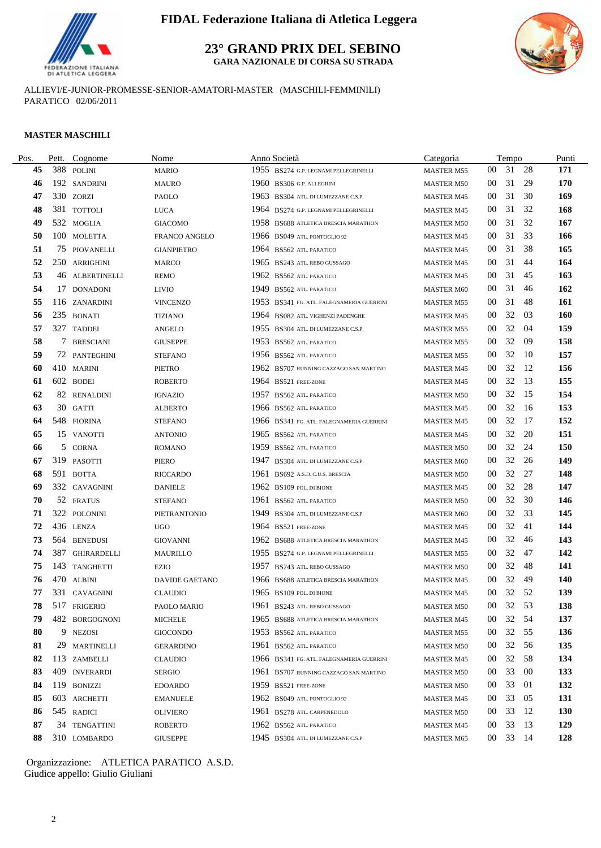

**23° GRAND PRIX DEL SEBINO**

**GARA NAZIONALE DI CORSA SU STRADA**



ALLIEVI/E-JUNIOR-PROMESSE-SENIOR-AMATORI-MASTER (MASCHILI-FEMMINILI) PARATICO 02/06/2011

#### **MASTER MASCHILI**

| Pos. | Pett. | Cognome            | Nome                  |      | Anno Società                              | Categoria         |                 | Tempo    |      | Punti      |
|------|-------|--------------------|-----------------------|------|-------------------------------------------|-------------------|-----------------|----------|------|------------|
| 45   | 388   | POLINI             | <b>MARIO</b>          |      | 1955 BS274 G.P. LEGNAMI PELLEGRINELLI     | <b>MASTER M55</b> | 00              | 31       | - 28 | 171        |
| 46   |       | 192 SANDRINI       | <b>MAURO</b>          | 1960 | BS306 G.P. ALLEGRINI                      | <b>MASTER M50</b> | $00\,$          | 31       | 29   | 170        |
| 47   |       | 330 ZORZI          | <b>PAOLO</b>          |      | 1963 BS304 ATL. DI LUMEZZANE C.S.P.       | <b>MASTER M45</b> | 00              | 31       | 30   | 169        |
| 48   | 381   | <b>TOTTOLI</b>     | <b>LUCA</b>           |      | 1964 BS274 G.P. LEGNAMI PELLEGRINELLI     | <b>MASTER M45</b> | $00\,$          | 31       | 32   | 168        |
| 49   |       | 532 MOGLIA         | <b>GIACOMO</b>        |      | 1958 BS688 ATLETICA BRESCIA MARATHON      | <b>MASTER M50</b> | $00\,$          | 31       | 32   | 167        |
| 50   |       | 100 MOLETTA        | FRANCO ANGELO         |      | 1966 BS049 ATL. PONTOGLIO 92              | <b>MASTER M45</b> | $00\,$          | 31       | 33   | 166        |
| 51   |       | 75 PIOVANELLI      | <b>GIANPIETRO</b>     |      | 1964 BS562 ATL. PARATICO                  | <b>MASTER M45</b> | 00              | 31       | 38   | 165        |
| 52   |       | 250 ARRIGHINI      | MARCO                 |      | 1965 BS243 ATL. REBO GUSSAGO              | <b>MASTER M45</b> | 00              | 31       | 44   | 164        |
| 53   |       | 46 ALBERTINELLI    | <b>REMO</b>           |      | 1962 BS562 ATL. PARATICO                  | <b>MASTER M45</b> | $00\,$          | 31       | 45   | 163        |
| 54   |       | 17 DONADONI        | <b>LIVIO</b>          |      | 1949 BS562 ATL. PARATICO                  | <b>MASTER M60</b> | 00              | 31       | 46   | 162        |
| 55   |       | 116 ZANARDINI      | <b>VINCENZO</b>       |      | 1953 BS341 FG. ATL. FALEGNAMERIA GUERRINI | <b>MASTER M55</b> | 00              | 31       | 48   | 161        |
| 56   |       | 235 BONATI         | <b>TIZIANO</b>        |      | 1964 BS082 ATL. VIGHENZI PADENGHE         | <b>MASTER M45</b> | $00\,$          | 32       | 03   | <b>160</b> |
| 57   |       | 327 TADDEI         | ANGELO                |      | 1955 BS304 ATL. DI LUMEZZANE C.S.P.       | <b>MASTER M55</b> | 00              | 32       | 04   | 159        |
| 58   | 7     | <b>BRESCIANI</b>   | <b>GIUSEPPE</b>       |      | 1953 BS562 ATL. PARATICO                  | <b>MASTER M55</b> | 00              | 32       | 09   | 158        |
| 59   |       | 72 PANTEGHINI      | <b>STEFANO</b>        |      | 1956 BS562 ATL PARATICO                   | <b>MASTER M55</b> | 00              | 32       | -10  | 157        |
| 60   |       | 410 MARINI         | PIETRO                |      | 1962 BS707 RUNNING CAZZAGO SAN MARTINO    | <b>MASTER M45</b> | $00\,$          | 32       | 12   | 156        |
| 61   |       | 602 BODEI          | <b>ROBERTO</b>        |      | 1964 BS521 FREE-ZONE                      | <b>MASTER M45</b> | $00\,$          | 32       | -13  | 155        |
| 62   |       | 82 RENALDINI       | <b>IGNAZIO</b>        | 1957 | BS562 ATL. PARATICO                       | <b>MASTER M50</b> | 00              | 32       | 15   | 154        |
| 63   |       | 30 GATTI           | <b>ALBERTO</b>        |      | 1966 BS562 ATL. PARATICO                  | <b>MASTER M45</b> | 00              | 32       | -16  | 153        |
| 64   |       | 548 FIORINA        | <b>STEFANO</b>        |      | 1966 BS341 FG. ATL. FALEGNAMERIA GUERRINI | <b>MASTER M45</b> | $00\,$          | 32       | 17   | 152        |
| 65   |       | 15 VANOTTI         | ANTONIO               |      | 1965 BS562 ATL. PARATICO                  | <b>MASTER M45</b> | 00              | 32       | 20   | 151        |
| 66   |       | 5 CORNA            | ROMANO                |      | 1959 BS562 ATL. PARATICO                  | <b>MASTER M50</b> | $00\,$          | 32       | 24   | 150        |
| 67   |       | 319 PASOTTI        | PIERO                 | 1947 | BS304 ATL. DI LUMEZZANE C.S.P.            | <b>MASTER M60</b> | $00\,$          | 32       | 26   | 149        |
| 68   | 591   | <b>BOTTA</b>       | <b>RICCARDO</b>       | 1961 | BS692 A.S.D. C.U.S. BRESCIA               | <b>MASTER M50</b> | 00              | 32       | 27   | 148        |
| 69   |       | 332 CAVAGNINI      | <b>DANIELE</b>        |      | 1962 BS109 POL. DI BIONE                  | <b>MASTER M45</b> | 00              | 32       | 28   | 147        |
| 70   |       | 52 FRATUS          | <b>STEFANO</b>        |      | 1961 BS562 ATL. PARATICO                  | <b>MASTER M50</b> | 00              | 32       | 30   | 146        |
| 71   |       | 322 POLONINI       | PIETRANTONIO          |      | 1949 BS304 ATL. DI LUMEZZANE C.S.P.       | <b>MASTER M60</b> | $00\,$          | 32       | 33   | 145        |
| 72   |       | 436 LENZA          | <b>UGO</b>            |      | 1964 BS521 FREE-ZONE                      | <b>MASTER M45</b> | $00\,$          | 32       | 41   | 144        |
| 73   |       | 564 BENEDUSI       | <b>GIOVANNI</b>       |      | 1962 BS688 ATLETICA BRESCIA MARATHON      | <b>MASTER M45</b> | 00              | 32       | 46   | 143        |
| 74   | 387   | <b>GHIRARDELLI</b> | MAURILLO              |      | 1955 BS274 G.P. LEGNAMI PELLEGRINELLI     | <b>MASTER M55</b> | 00              | 32       | 47   | 142        |
| 75   |       | 143 TANGHETTI      | <b>EZIO</b>           |      | 1957 BS243 ATL. REBO GUSSAGO              | <b>MASTER M50</b> | 00              | 32       | 48   | 141        |
| 76   |       | 470 ALBINI         | <b>DAVIDE GAETANO</b> |      | 1966 BS688 ATLETICA BRESCIA MARATHON      | <b>MASTER M45</b> | 00              | 32       | 49   | 140        |
| 77   |       | 331 CAVAGNINI      | <b>CLAUDIO</b>        |      | 1965 BS109 POL. DI BIONE                  | <b>MASTER M45</b> | 00              | 32       | 52   | 139        |
| 78   |       | 517 FRIGERIO       | PAOLO MARIO           |      | 1961 BS243 ATL. REBO GUSSAGO              | <b>MASTER M50</b> | 00 <sup>°</sup> | 32       | 53   | 138        |
| 79   |       | 482 BORGOGNONI     | MICHELE               |      | 1965 BS688 ATLETICA BRESCIA MARATHON      | <b>MASTER M45</b> | 00 <sup>°</sup> | 32       | - 54 | 137        |
| 80   | 9.    | <b>NEZOSI</b>      | <b>GIOCONDO</b>       |      | 1953 BS562 ATL. PARATICO                  | <b>MASTER M55</b> | $00\,$          | 32       | 55   | 136        |
| 81   |       | 29 MARTINELLI      | <b>GERARDINO</b>      |      | 1961 BS562 ATL PARATICO                   | <b>MASTER M50</b> | $00\,$          | 32       | -56  | 135        |
| 82   |       | 113 ZAMBELLI       | <b>CLAUDIO</b>        |      | 1966 BS341 FG. ATL. FALEGNAMERIA GUERRINI | <b>MASTER M45</b> | $00\,$          | 32       | 58   | 134        |
| 83   |       | 409 INVERARDI      | SERGIO                |      | 1961 BS707 RUNNING CAZZAGO SAN MARTINO    | <b>MASTER M50</b> | $00\,$          | 33       | 00   | 133        |
| 84   |       | 119 BONIZZI        | <b>EDOARDO</b>        |      | 1959 BS521 FREE-ZONE                      | <b>MASTER M50</b> | $00\,$          | 33       | 01   | 132        |
| 85   |       | 603 ARCHETTI       | <b>EMANUELE</b>       |      | 1962 BS049 ATL. PONTOGLIO 92              | <b>MASTER M45</b> | $00\,$          | 33       | 05   | 131        |
| 86   |       | 545 RADICI         | OLIVIERO              |      | 1961 BS278 ATL. CARPENEDOLO               | <b>MASTER M50</b> | $00\,$          | 33       | 12   | <b>130</b> |
| 87   |       | 34 TENGATTINI      | <b>ROBERTO</b>        |      | 1962 BS562 ATL PARATICO                   | <b>MASTER M45</b> | $00\,$          | 33       | 13   | 129        |
| 88   |       | 310 LOMBARDO       | <b>GIUSEPPE</b>       |      | 1945 BS304 ATL. DI LUMEZZANE C.S.P.       | <b>MASTER M65</b> |                 | 00 33 14 |      | 128        |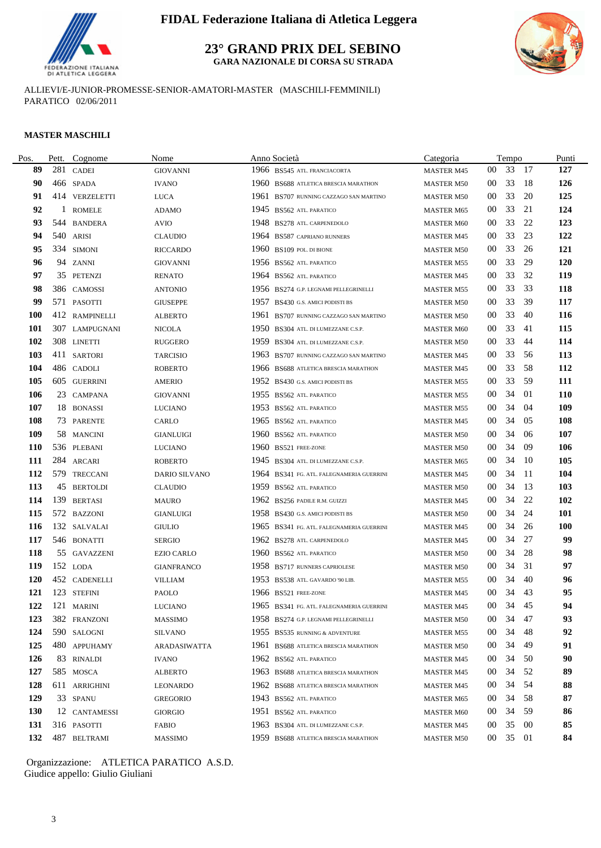

**23° GRAND PRIX DEL SEBINO**

**GARA NAZIONALE DI CORSA SU STRADA**



ALLIEVI/E-JUNIOR-PROMESSE-SENIOR-AMATORI-MASTER (MASCHILI-FEMMINILI) PARATICO 02/06/2011

#### **MASTER MASCHILI**

| Pos.       | Pett. | Cognome        | Nome                 |      | Anno Società                              | Categoria         |                 | Tempo    |        | Punti      |
|------------|-------|----------------|----------------------|------|-------------------------------------------|-------------------|-----------------|----------|--------|------------|
| 89         | 281   | <b>CADEI</b>   | <b>GIOVANNI</b>      |      | 1966 BS545 ATL. FRANCIACORTA              | <b>MASTER M45</b> | $00\,$          | 33       | -17    | 127        |
| 90         |       | 466 SPADA      | <b>IVANO</b>         | 1960 | BS688 ATLETICA BRESCIA MARATHON           | <b>MASTER M50</b> | $00\,$          | 33       | -18    | 126        |
| 91         |       | 414 VERZELETTI | <b>LUCA</b>          |      | 1961 BS707 RUNNING CAZZAGO SAN MARTINO    | <b>MASTER M50</b> | 00              | 33       | 20     | 125        |
| 92         | 1     | <b>ROMELE</b>  | <b>ADAMO</b>         |      | 1945 BS562 ATL PARATICO                   | <b>MASTER M65</b> | $00\,$          | 33       | 21     | 124        |
| 93         | 544   | <b>BANDERA</b> | <b>AVIO</b>          |      | 1948 BS278 ATL. CARPENEDOLO               | <b>MASTER M60</b> | $00\,$          | 33       | 22     | 123        |
| 94         |       | 540 ARISI      | <b>CLAUDIO</b>       |      | 1964 BS587 CAPRIANO RUNNERS               | <b>MASTER M45</b> | $00\,$          | 33       | 23     | 122        |
| 95         |       | 334 SIMONI     | <b>RICCARDO</b>      | 1960 | BS109 POL. DI BIONE                       | <b>MASTER M50</b> | 00              | 33       | 26     | 121        |
| 96         |       | 94 ZANNI       | GIOVANNI             |      | 1956 BS562 ATL PARATICO                   | <b>MASTER M55</b> | 00              | 33       | 29     | <b>120</b> |
| 97         |       | 35 PETENZI     | <b>RENATO</b>        |      | 1964 BS562 ATL. PARATICO                  | <b>MASTER M45</b> | $00\,$          | 33       | 32     | 119        |
| 98         |       | 386 CAMOSSI    | ANTONIO              |      | 1956 BS274 G.P. LEGNAMI PELLEGRINELLI     | <b>MASTER M55</b> | $00\,$          | 33       | 33     | 118        |
| 99         |       | 571 PASOTTI    | <b>GIUSEPPE</b>      |      | 1957 BS430 G.S. AMICI PODISTI BS          | <b>MASTER M50</b> | $00\,$          | 33       | 39     | 117        |
| <b>100</b> |       | 412 RAMPINELLI | <b>ALBERTO</b>       | 1961 | BS707 RUNNING CAZZAGO SAN MARTINO         | <b>MASTER M50</b> | $00\,$          | 33       | 40     | 116        |
| 101        |       | 307 LAMPUGNANI | NICOLA               |      | 1950 BS304 ATL. DI LUMEZZANE C.S.P.       | <b>MASTER M60</b> | $00\,$          | 33       | 41     | 115        |
| 102        |       | 308 LINETTI    | <b>RUGGERO</b>       |      | 1959 BS304 ATL. DI LUMEZZANE C.S.P.       | <b>MASTER M50</b> | 00              | 33       | 44     | 114        |
| 103        |       | 411 SARTORI    | <b>TARCISIO</b>      |      | 1963 BS707 RUNNING CAZZAGO SAN MARTINO    | <b>MASTER M45</b> | 00              | 33       | 56     | 113        |
| 104        |       | 486 CADOLI     | <b>ROBERTO</b>       |      | 1966 BS688 ATLETICA BRESCIA MARATHON      | <b>MASTER M45</b> | $00\,$          | 33       | 58     | 112        |
| 105        |       | 605 GUERRINI   | <b>AMERIO</b>        |      | 1952 BS430 G.S. AMICI PODISTI BS          | <b>MASTER M55</b> | $00\,$          | 33       | 59     | 111        |
| 106        |       | 23 CAMPANA     | <b>GIOVANNI</b>      |      | 1955 BS562 ATL. PARATICO                  | <b>MASTER M55</b> | 00              | 34       | 01     | <b>110</b> |
| 107        |       | 18 BONASSI     | LUCIANO              |      | 1953 BS562 ATL. PARATICO                  | <b>MASTER M55</b> | 00              | 34       | -04    | 109        |
| 108        |       | 73 PARENTE     | CARLO                |      | 1965 BS562 ATL. PARATICO                  | <b>MASTER M45</b> | 00              | 34       | 05     | 108        |
| 109        |       | 58 MANCINI     | <b>GIANLUIGI</b>     |      | 1960 BS562 ATL. PARATICO                  | <b>MASTER M50</b> | 00              | 34       | -06    | 107        |
| <b>110</b> |       | 536 PLEBANI    | LUCIANO              |      | 1960 BS521 FREE-ZONE                      | <b>MASTER M50</b> | 00              | 34       | -09    | 106        |
| 111        |       | 284 ARCARI     | <b>ROBERTO</b>       |      | 1945 BS304 ATL. DI LUMEZZANE C.S.P.       | <b>MASTER M65</b> | $00\,$          | 34       | - 10   | 105        |
| 112        |       | 579 TRECCANI   | <b>DARIO SILVANO</b> |      | 1964 BS341 FG. ATL. FALEGNAMERIA GUERRINI | <b>MASTER M45</b> | $00\,$          | 34       | - 11   | 104        |
| 113        |       | 45 BERTOLDI    | <b>CLAUDIO</b>       |      | 1959 BS562 ATL. PARATICO                  | <b>MASTER M50</b> | 00              | 34       | -13    | 103        |
| 114        | 139   | <b>BERTASI</b> | <b>MAURO</b>         |      | 1962 BS256 PADILE R.M. GUIZZI             | <b>MASTER M45</b> | 00              | 34       | 22     | 102        |
| 115        |       | 572 BAZZONI    | <b>GIANLUIGI</b>     |      | 1958 BS430 G.S. AMICI PODISTI BS          | <b>MASTER M50</b> | $00\,$          | 34       | 24     | 101        |
| 116        |       | 132 SALVALAI   | <b>GIULIO</b>        |      | 1965 BS341 FG. ATL. FALEGNAMERIA GUERRINI | <b>MASTER M45</b> | 00              | 34       | 26     | 100        |
| 117        |       | 546 BONATTI    | <b>SERGIO</b>        |      | 1962 BS278 ATL. CARPENEDOLO               | <b>MASTER M45</b> | 00              | 34       | 27     | 99         |
| 118        |       | 55 GAVAZZENI   | <b>EZIO CARLO</b>    |      | 1960 BS562 ATL. PARATICO                  | <b>MASTER M50</b> | 00              | 34       | 28     | 98         |
| 119        |       | 152 LODA       | <b>GIANFRANCO</b>    |      | 1958 BS717 RUNNERS CAPRIOLESE             | <b>MASTER M50</b> | $00\,$          | 34       | 31     | 97         |
| <b>120</b> |       | 452 CADENELLI  | <b>VILLIAM</b>       |      | 1953 BS538 ATL. GAVARDO '90 LIB.          | <b>MASTER M55</b> | 00              | 34       | 40     | 96         |
| 121        |       | 123 STEFINI    | PAOLO                |      | 1966 BS521 FREE-ZONE                      | <b>MASTER M45</b> | $00\,$          | 34       | 43     | 95         |
|            |       | 122 121 MARINI | LUCIANO              |      | 1965 BS341 FG. ATL. FALEGNAMERIA GUERRINI | <b>MASTER M45</b> | 00 <sup>1</sup> | 34 45    |        | 94         |
| 123        |       | 382 FRANZONI   | <b>MASSIMO</b>       |      | 1958 BS274 G.P. LEGNAMI PELLEGRINELLI     | <b>MASTER M50</b> | 00 <sup>°</sup> | 34       | -47    | 93         |
| 124        |       | 590 SALOGNI    | <b>SILVANO</b>       |      | 1955 BS535 RUNNING & ADVENTURE            | <b>MASTER M55</b> | $00\,$          | 34       | 48     | 92         |
| 125        |       | 480 APPUHAMY   | ARADASIWATTA         |      | 1961 BS688 ATLETICA BRESCIA MARATHON      | <b>MASTER M50</b> | 00              | 34       | 49     | 91         |
| 126        |       | 83 RINALDI     | <b>IVANO</b>         |      | 1962 BS562 ATL PARATICO                   | <b>MASTER M45</b> | $00\,$          | 34       | 50     | 90         |
| 127        |       | 585 MOSCA      | <b>ALBERTO</b>       |      | 1963 BS688 ATLETICA BRESCIA MARATHON      | <b>MASTER M45</b> | 00              | 34       | 52     | 89         |
| 128        |       | 611 ARRIGHINI  | <b>LEONARDO</b>      |      | 1962 BS688 ATLETICA BRESCIA MARATHON      | <b>MASTER M45</b> | 00              | 34       | -54    | 88         |
| 129        |       | 33 SPANU       | <b>GREGORIO</b>      |      | 1943 BS562 ATL PARATICO                   | <b>MASTER M65</b> | 00 <sup>°</sup> | 34       | 58     | 87         |
| <b>130</b> |       | 12 CANTAMESSI  | GIORGIO              |      | 1951 BS562 ATL. PARATICO                  | <b>MASTER M60</b> | 00              | 34       | 59     | 86         |
| 131        |       | 316 PASOTTI    | <b>FABIO</b>         |      | 1963 BS304 ATL. DI LUMEZZANE C.S.P.       | <b>MASTER M45</b> | 00              | 35       | $00\,$ | 85         |
| 132        |       | 487 BELTRAMI   | <b>MASSIMO</b>       |      | 1959 BS688 ATLETICA BRESCIA MARATHON      | <b>MASTER M50</b> |                 | 00 35 01 |        | 84         |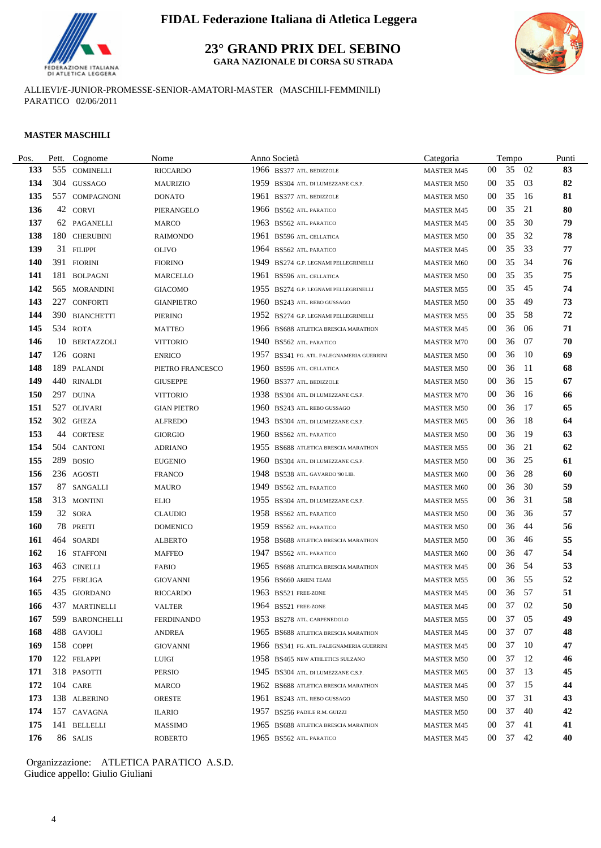

**23° GRAND PRIX DEL SEBINO**

**GARA NAZIONALE DI CORSA SU STRADA**



ALLIEVI/E-JUNIOR-PROMESSE-SENIOR-AMATORI-MASTER (MASCHILI-FEMMINILI) PARATICO 02/06/2011

#### **MASTER MASCHILI**

| Pos.       | Pett. | Cognome         | Nome               |      | Anno Società                              | Categoria         |                 | Tempo    |      | Punti |
|------------|-------|-----------------|--------------------|------|-------------------------------------------|-------------------|-----------------|----------|------|-------|
| 133        |       | 555 COMINELLI   | <b>RICCARDO</b>    |      | 1966 BS377 ATL. BEDIZZOLE                 | <b>MASTER M45</b> | $00\,$          | 35       | 02   | 83    |
| 134        |       | 304 GUSSAGO     | <b>MAURIZIO</b>    | 1959 | BS304 ATL. DI LUMEZZANE C.S.P.            | <b>MASTER M50</b> | $00\,$          | 35       | 03   | 82    |
| 135        |       | 557 COMPAGNONI  | <b>DONATO</b>      |      | 1961 BS377 ATL. BEDIZZOLE                 | <b>MASTER M50</b> | 00              | 35       | -16  | 81    |
| 136        |       | 42 CORVI        | PIERANGELO         |      | 1966 BS562 ATL. PARATICO                  | <b>MASTER M45</b> | 00              | 35       | 21   | 80    |
| 137        |       | 62 PAGANELLI    | <b>MARCO</b>       |      | 1963 BS562 ATL. PARATICO                  | <b>MASTER M45</b> | $00\,$          | 35       | 30   | 79    |
| 138        |       | 180 CHERUBINI   | <b>RAIMONDO</b>    |      | 1961 BS596 ATL CELLATICA                  | <b>MASTER M50</b> | $00\,$          | 35       | 32   | 78    |
| 139        |       | 31 FILIPPI      | <b>OLIVO</b>       |      | 1964 BS562 ATL. PARATICO                  | <b>MASTER M45</b> | 00              | 35       | 33   | 77    |
| 140        |       | 391 FIORINI     | <b>FIORINO</b>     | 1949 | BS274 G.P. LEGNAMI PELLEGRINELLI          | <b>MASTER M60</b> | 00              | 35       | 34   | 76    |
| 141        | 181   | <b>BOLPAGNI</b> | <b>MARCELLO</b>    |      | 1961 BS596 ATL. CELLATICA                 | <b>MASTER M50</b> | $00\,$          | 35       | 35   | 75    |
| 142        |       | 565 MORANDINI   | <b>GIACOMO</b>     |      | 1955 BS274 G.P. LEGNAMI PELLEGRINELLI     | <b>MASTER M55</b> | 00              | 35       | 45   | 74    |
| 143        |       | 227 CONFORTI    | GIANPIETRO         |      | 1960 BS243 ATL. REBO GUSSAGO              | <b>MASTER M50</b> | 00              | 35       | 49   | 73    |
| 144        |       | 390 BIANCHETTI  | <b>PIERINO</b>     |      | 1952 BS274 G.P. LEGNAMI PELLEGRINELLI     | <b>MASTER M55</b> | $00\,$          | 35       | 58   | 72    |
| 145        |       | 534 ROTA        | <b>MATTEO</b>      |      | 1966 BS688 ATLETICA BRESCIA MARATHON      | <b>MASTER M45</b> | 00              | 36       | 06   | 71    |
| 146        |       | 10 BERTAZZOLI   | <b>VITTORIO</b>    |      | 1940 BS562 ATL. PARATICO                  | <b>MASTER M70</b> | 00              | 36       | 07   | 70    |
| 147        |       | 126 GORNI       | <b>ENRICO</b>      | 1957 | BS341 FG. ATL. FALEGNAMERIA GUERRINI      | <b>MASTER M50</b> | 00              | 36       | -10  | 69    |
| 148        |       | 189 PALANDI     | PIETRO FRANCESCO   | 1960 | BS596 ATL. CELLATICA                      | <b>MASTER M50</b> | 00              | 36       | -11  | 68    |
| 149        |       | 440 RINALDI     | <b>GIUSEPPE</b>    |      | 1960 BS377 ATL. BEDIZZOLE                 | <b>MASTER M50</b> | 00              | 36       | 15   | 67    |
| <b>150</b> |       | 297 DUINA       | <b>VITTORIO</b>    | 1938 | BS304 ATL. DI LUMEZZANE C.S.P.            | <b>MASTER M70</b> | 00              | 36       | -16  | 66    |
| 151        | 527   | OLIVARI         | <b>GIAN PIETRO</b> | 1960 | BS243 ATL. REBO GUSSAGO                   | <b>MASTER M50</b> | 00              | 36       | 17   | 65    |
| 152        |       | 302 GHEZA       | <b>ALFREDO</b>     |      | 1943 BS304 ATL. DI LUMEZZANE C.S.P.       | <b>MASTER M65</b> | $00\,$          | 36       | -18  | 64    |
| 153        | 44    | <b>CORTESE</b>  | <b>GIORGIO</b>     |      | 1960 BS562 ATL. PARATICO                  | <b>MASTER M50</b> | 00              | 36       | -19  | 63    |
| 154        |       | 504 CANTONI     | <b>ADRIANO</b>     |      | 1955 BS688 ATLETICA BRESCIA MARATHON      | <b>MASTER M55</b> | 00              | 36       | 21   | 62    |
| 155        |       | 289 BOSIO       | <b>EUGENIO</b>     | 1960 | BS304 ATL. DI LUMEZZANE C.S.P.            | <b>MASTER M50</b> | $00\,$          | 36       | 25   | 61    |
| 156        |       | 236 AGOSTI      | <b>FRANCO</b>      |      | 1948 BS538 ATL. GAVARDO '90 LIB.          | <b>MASTER M60</b> | $00\,$          | 36       | 28   | 60    |
| 157        |       | 87 SANGALLI     | <b>MAURO</b>       |      | 1949 BS562 ATL. PARATICO                  | <b>MASTER M60</b> | 00              | 36       | 30   | 59    |
| 158        |       | 313 MONTINI     | <b>ELIO</b>        |      | 1955 BS304 ATL. DI LUMEZZANE C.S.P.       | MASTER M55        | 00              | 36       | 31   | 58    |
| 159        |       | 32 SORA         | <b>CLAUDIO</b>     |      | 1958 BS562 ATL. PARATICO                  | <b>MASTER M50</b> | 00              | 36       | 36   | 57    |
| <b>160</b> |       | 78 PREITI       | <b>DOMENICO</b>    |      | 1959 BS562 ATL. PARATICO                  | <b>MASTER M50</b> | 00              | 36       | 44   | 56    |
| 161        |       | 464 SOARDI      | <b>ALBERTO</b>     |      | 1958 BS688 ATLETICA BRESCIA MARATHON      | <b>MASTER M50</b> | $00\,$          | 36       | 46   | 55    |
| 162        |       | 16 STAFFONI     | <b>MAFFEO</b>      | 1947 | <b>BS562 ATL. PARATICO</b>                | <b>MASTER M60</b> | 00              | 36       | 47   | 54    |
| 163        |       | 463 CINELLI     | <b>FABIO</b>       |      | 1965 BS688 ATLETICA BRESCIA MARATHON      | <b>MASTER M45</b> | $00\,$          | 36       | -54  | 53    |
| 164        |       | 275 FERLIGA     | <b>GIOVANNI</b>    |      | 1956 BS660 ARIENI TEAM                    | <b>MASTER M55</b> | 00              | 36       | 55   | 52    |
| 165        |       | 435 GIORDANO    | <b>RICCARDO</b>    |      | 1963 BS521 FREE-ZONE                      | <b>MASTER M45</b> | $00\,$          | 36       | -57  | 51    |
| 166        |       | 437 MARTINELLI  | <b>VALTER</b>      |      | 1964 BS521 FREE-ZONE                      | <b>MASTER M45</b> | $00\,$          | 37       | - 02 | 50    |
| 167        |       | 599 BARONCHELLI | FERDINANDO         |      | 1953 BS278 ATL. CARPENEDOLO               | <b>MASTER M55</b> | 00 <sup>°</sup> | 37       | -05  | 49    |
| 168        |       | 488 GAVIOLI     | ANDREA             |      | 1965 BS688 ATLETICA BRESCIA MARATHON      | <b>MASTER M45</b> | $00\,$          | 37       | -07  | 48    |
| 169        |       | 158 COPPI       | <b>GIOVANNI</b>    |      | 1966 BS341 FG. ATL. FALEGNAMERIA GUERRINI | MASTER M45        | 00              | 37       | -10  | 47    |
| 170        |       | 122 FELAPPI     | LUIGI              |      | 1958 BS465 NEW ATHLETICS SULZANO          | <b>MASTER M50</b> | $00\,$          | 37       | -12  | 46    |
| 171        |       | 318 PASOTTI     | <b>PERSIO</b>      |      | 1945 BS304 ATL. DI LUMEZZANE C.S.P.       | <b>MASTER M65</b> | $00\,$          | 37       | 13   | 45    |
| 172        |       | 104 CARE        | <b>MARCO</b>       |      | 1962 BS688 ATLETICA BRESCIA MARATHON      | <b>MASTER M45</b> | 00              | 37       | -15  | 44    |
| 173        |       | 138 ALBERINO    | ORESTE             |      | 1961 BS243 ATL. REBO GUSSAGO              | <b>MASTER M50</b> | 00 <sup>°</sup> | 37       | 31   | 43    |
| 174        |       | 157 CAVAGNA     | ILARIO             |      | 1957 BS256 PADILE R.M. GUIZZI             | <b>MASTER M50</b> | $00\,$          | 37       | 40   | 42    |
| 175        |       | 141 BELLELLI    | <b>MASSIMO</b>     |      | 1965 BS688 ATLETICA BRESCIA MARATHON      | <b>MASTER M45</b> | $00\,$          | 37       | 41   | 41    |
| 176        |       | 86 SALIS        | <b>ROBERTO</b>     |      | 1965 BS562 ATL. PARATICO                  | <b>MASTER M45</b> |                 | 00 37 42 |      | 40    |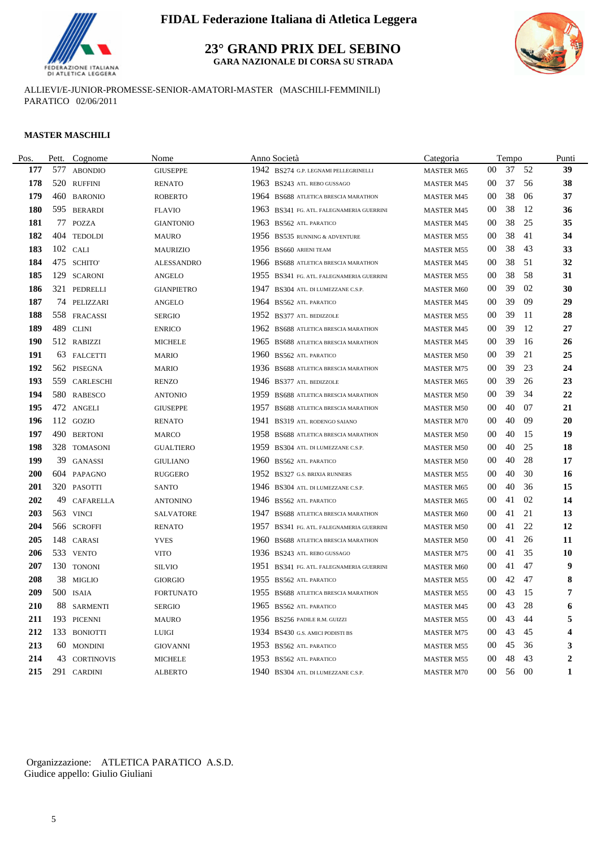

**23° GRAND PRIX DEL SEBINO**

**GARA NAZIONALE DI CORSA SU STRADA**



ALLIEVI/E-JUNIOR-PROMESSE-SENIOR-AMATORI-MASTER (MASCHILI-FEMMINILI) PARATICO 02/06/2011

#### **MASTER MASCHILI**

| Pos.       | Pett. | Cognome           | Nome              |      | Anno Società                              | Categoria         |        | Tempo |    | Punti                   |
|------------|-------|-------------------|-------------------|------|-------------------------------------------|-------------------|--------|-------|----|-------------------------|
| 177        | 577   | <b>ABONDIO</b>    | <b>GIUSEPPE</b>   |      | 1942 BS274 G.P. LEGNAMI PELLEGRINELLI     | <b>MASTER M65</b> | $00\,$ | 37    | 52 | 39                      |
| 178        |       | 520 RUFFINI       | <b>RENATO</b>     |      | 1963 BS243 ATL. REBO GUSSAGO              | <b>MASTER M45</b> | $00\,$ | 37    | 56 | 38                      |
| 179        |       | 460 BARONIO       | <b>ROBERTO</b>    |      | 1964 BS688 ATLETICA BRESCIA MARATHON      | <b>MASTER M45</b> | 00     | 38    | 06 | 37                      |
| 180        |       | 595 BERARDI       | <b>FLAVIO</b>     |      | 1963 BS341 FG. ATL. FALEGNAMERIA GUERRINI | <b>MASTER M45</b> | 00     | 38    | 12 | 36                      |
| 181        |       | 77 POZZA          | <b>GIANTONIO</b>  |      | 1963 BS562 ATL. PARATICO                  | <b>MASTER M45</b> | 00     | 38    | 25 | 35                      |
| 182        |       | 404 TEDOLDI       | <b>MAURO</b>      |      | 1956 BS535 RUNNING & ADVENTURE            | <b>MASTER M55</b> | 00     | 38    | 41 | 34                      |
| 183        |       | 102 CALI          | <b>MAURIZIO</b>   |      | 1956 BS660 ARIENI TEAM                    | <b>MASTER M55</b> | $00\,$ | 38    | 43 | 33                      |
| 184        |       | 475 SCHITO'       | <b>ALESSANDRO</b> |      | 1966 BS688 ATLETICA BRESCIA MARATHON      | <b>MASTER M45</b> | 00     | 38    | 51 | 32                      |
| 185        |       | 129 SCARONI       | <b>ANGELO</b>     |      | 1955 BS341 FG. ATL. FALEGNAMERIA GUERRINI | <b>MASTER M55</b> | $00\,$ | 38    | 58 | 31                      |
| 186        |       | 321 PEDRELLI      | <b>GIANPIETRO</b> |      | 1947 BS304 ATL. DI LUMEZZANE C.S.P.       | <b>MASTER M60</b> | 00     | 39    | 02 | 30                      |
| 187        |       | 74 PELIZZARI      | <b>ANGELO</b>     |      | 1964 BS562 ATL. PARATICO                  | <b>MASTER M45</b> | 00     | 39    | 09 | 29                      |
| 188        |       | 558 FRACASSI      | <b>SERGIO</b>     |      | 1952 BS377 ATL. BEDIZZOLE                 | <b>MASTER M55</b> | 00     | 39    | 11 | 28                      |
| 189        |       | 489 CLINI         | <b>ENRICO</b>     |      | 1962 BS688 ATLETICA BRESCIA MARATHON      | <b>MASTER M45</b> | 00     | 39    | 12 | 27                      |
| <b>190</b> |       | 512 RABIZZI       | <b>MICHELE</b>    |      | 1965 BS688 ATLETICA BRESCIA MARATHON      | <b>MASTER M45</b> | $00\,$ | 39    | 16 | 26                      |
| 191        |       | 63 FALCETTI       | <b>MARIO</b>      | 1960 | <b>BS562 ATL. PARATICO</b>                | <b>MASTER M50</b> | 00     | 39    | 21 | 25                      |
| 192        |       | 562 PISEGNA       | <b>MARIO</b>      |      | 1936 BS688 ATLETICA BRESCIA MARATHON      | <b>MASTER M75</b> | $00\,$ | 39    | 23 | 24                      |
| 193        |       | 559 CARLESCHI     | <b>RENZO</b>      |      | 1946 BS377 ATL. BEDIZZOLE                 | <b>MASTER M65</b> | $00\,$ | 39    | 26 | 23                      |
| 194        |       | 580 RABESCO       | <b>ANTONIO</b>    | 1959 | BS688 ATLETICA BRESCIA MARATHON           | <b>MASTER M50</b> | $00\,$ | 39    | 34 | 22                      |
| 195        |       | 472 ANGELI        | <b>GIUSEPPE</b>   | 1957 | BS688 ATLETICA BRESCIA MARATHON           | <b>MASTER M50</b> | 00     | 40    | 07 | 21                      |
| 196        |       | 112 GOZIO         | <b>RENATO</b>     | 1941 | BS319 ATL. RODENGO SAIANO                 | <b>MASTER M70</b> | 00     | 40    | 09 | 20                      |
| 197        |       | 490 BERTONI       | <b>MARCO</b>      |      | 1958 BS688 ATLETICA BRESCIA MARATHON      | <b>MASTER M50</b> | 00     | 40    | 15 | 19                      |
| 198        |       | 328 TOMASONI      | <b>GUALTIERO</b>  | 1959 | BS304 ATL. DI LUMEZZANE C.S.P.            | <b>MASTER M50</b> | 00     | 40    | 25 | 18                      |
| 199        |       | 39 GANASSI        | GIULIANO          | 1960 | <b>BS562 ATL. PARATICO</b>                | <b>MASTER M50</b> | 00     | 40    | 28 | 17                      |
| 200        |       | 604 PAPAGNO       | <b>RUGGERO</b>    |      | 1952 BS327 G.S. BRIXIA RUNNERS            | <b>MASTER M55</b> | 00     | 40    | 30 | 16                      |
| <b>201</b> |       | 320 PASOTTI       | <b>SANTO</b>      |      | 1946 BS304 ATL. DI LUMEZZANE C.S.P.       | <b>MASTER M65</b> | $00\,$ | 40    | 36 | 15                      |
| 202        |       | 49 CAFARELLA      | <b>ANTONINO</b>   |      | 1946 BS562 ATL. PARATICO                  | <b>MASTER M65</b> | $00\,$ | 41    | 02 | 14                      |
| 203        |       | 563 VINCI         | <b>SALVATORE</b>  |      | 1947 BS688 ATLETICA BRESCIA MARATHON      | <b>MASTER M60</b> | $00\,$ | 41    | 21 | 13                      |
| 204        |       | 566 SCROFFI       | <b>RENATO</b>     |      | 1957 BS341 FG. ATL. FALEGNAMERIA GUERRINI | <b>MASTER M50</b> | 00     | 41    | 22 | 12                      |
| 205        |       | 148 CARASI        | <b>YVES</b>       |      | 1960 BS688 ATLETICA BRESCIA MARATHON      | <b>MASTER M50</b> | 00     | 41    | 26 | 11                      |
| 206        |       | 533 VENTO         | <b>VITO</b>       |      | 1936 BS243 ATL. REBO GUSSAGO              | <b>MASTER M75</b> | $00\,$ | 41    | 35 | 10                      |
| 207        |       | 130 TONONI        | <b>SILVIO</b>     | 1951 | BS341 FG. ATL. FALEGNAMERIA GUERRINI      | <b>MASTER M60</b> | 00     | 41    | 47 | 9                       |
| 208        |       | 38 MIGLIO         | <b>GIORGIO</b>    |      | 1955 BS562 ATL. PARATICO                  | <b>MASTER M55</b> | $00\,$ | 42    | 47 | 8                       |
| 209        |       | 500 ISAIA         | <b>FORTUNATO</b>  |      | 1955 BS688 ATLETICA BRESCIA MARATHON      | <b>MASTER M55</b> | $00\,$ | 43    | 15 | 7                       |
| 210        |       | 88 SARMENTI       | <b>SERGIO</b>     |      | 1965 BS562 ATL PARATICO                   | <b>MASTER M45</b> | $00\,$ | 43    | 28 | 6                       |
| 211        |       | 193 PICENNI       | <b>MAURO</b>      |      | 1956 BS256 PADILE R.M. GUIZZI             | <b>MASTER M55</b> | $00\,$ | 43    | 44 | 5                       |
| 212        |       | 133 BONIOTTI      | <b>LUIGI</b>      |      | 1934 BS430 G.S. AMICI PODISTI BS          | <b>MASTER M75</b> | $00\,$ | 43    | 45 | $\overline{\mathbf{4}}$ |
| 213        |       | 60 MONDINI        | <b>GIOVANNI</b>   |      | 1953 BS562 ATL. PARATICO                  | <b>MASTER M55</b> | 00     | 45    | 36 | 3                       |
| 214        | 43    | <b>CORTINOVIS</b> | <b>MICHELE</b>    |      | 1953 BS562 ATL. PARATICO                  | <b>MASTER M55</b> | 00     | 48    | 43 | $\boldsymbol{2}$        |
| 215        |       | 291 CARDINI       | <b>ALBERTO</b>    |      | 1940 BS304 ATL. DI LUMEZZANE C.S.P.       | <b>MASTER M70</b> | $00\,$ | 56    | 00 | $\mathbf{1}$            |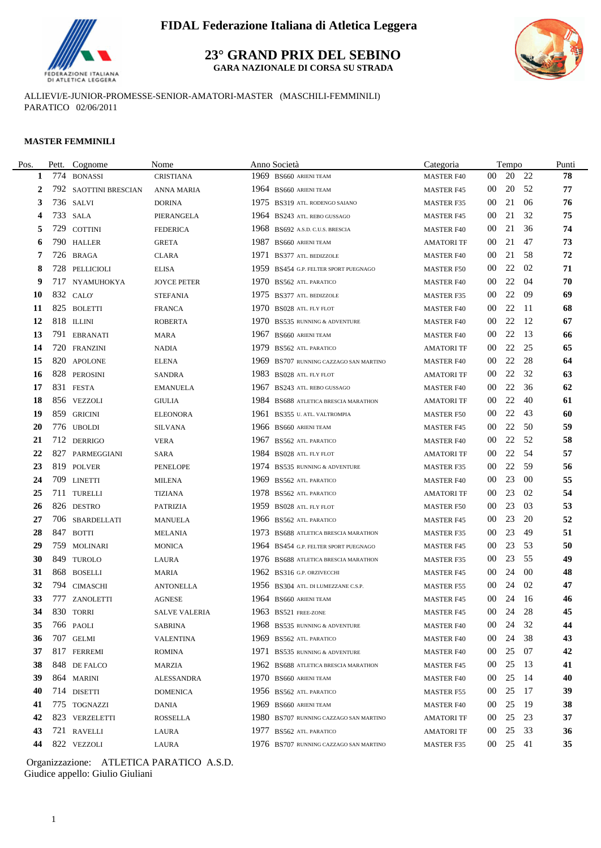

**23° GRAND PRIX DEL SEBINO GARA NAZIONALE DI CORSA SU STRADA**



ALLIEVI/E-JUNIOR-PROMESSE-SENIOR-AMATORI-MASTER (MASCHILI-FEMMINILI) PARATICO 02/06/2011

#### **MASTER FEMMINILI**

| Pos. | Pett. | Cognome               | Nome                 | Anno Società                           | Categoria         |                 | Tempo    |      | Punti |
|------|-------|-----------------------|----------------------|----------------------------------------|-------------------|-----------------|----------|------|-------|
| 1    | 774   | <b>BONASSI</b>        | <b>CRISTIANA</b>     | 1969 BS660 ARIENI TEAM                 | <b>MASTER F40</b> | 00              | 20       | 22   | 78    |
| 2    |       | 792 SAOTTINI BRESCIAN | <b>ANNA MARIA</b>    | 1964 BS660 ARIENI TEAM                 | <b>MASTER F45</b> | 00              | 20       | -52  | 77    |
| 3    |       | 736 SALVI             | <b>DORINA</b>        | 1975 BS319 ATL. RODENGO SAIANO         | <b>MASTER F35</b> | 00              | 21       | 06   | 76    |
|      |       | 733 SALA              | PIERANGELA           | 1964 BS243 ATL. REBO GUSSAGO           | <b>MASTER F45</b> | 00              | 21       | 32   | 75    |
| 5    | 729   | <b>COTTINI</b>        | <b>FEDERICA</b>      | 1968 BS692 A.S.D. C.U.S. BRESCIA       | <b>MASTER F40</b> | 00              | 21       | 36   | 74    |
| 6    |       | 790 HALLER            | <b>GRETA</b>         | 1987 BS660 ARIENI TEAM                 | <b>AMATORI TF</b> | 00              | 21       | 47   | 73    |
| 7    |       | 726 BRAGA             | CLARA                | 1971 BS377 ATL. BEDIZZOLE              | <b>MASTER F40</b> | 00              | 21       | -58  | 72    |
| 8    |       | 728 PELLICIOLI        | <b>ELISA</b>         | 1959 BS454 G.P. FELTER SPORT PUEGNAGO  | <b>MASTER F50</b> | 00              | 22       | 02   | 71    |
| 9    |       | 717 NYAMUHOKYA        | <b>JOYCE PETER</b>   | 1970 BS562 ATL PARATICO                | <b>MASTER F40</b> | 00              | 22       | 04   | 70    |
| 10   |       | 832 CALO'             | <b>STEFANIA</b>      | 1975 BS377 ATL. BEDIZZOLE              | <b>MASTER F35</b> | 00              | 22       | -09  | 69    |
| 11   |       | 825 BOLETTI           | <b>FRANCA</b>        | 1970 BS028 ATL. FLY FLOT               | <b>MASTER F40</b> | 00              | 22       | - 11 | 68    |
| 12   |       | 818 ILLINI            | <b>ROBERTA</b>       | 1970 BS535 RUNNING & ADVENTURE         | <b>MASTER F40</b> | 00              | 22       | -12  | 67    |
| 13   |       | 791 EBRANATI          | <b>MARA</b>          | 1967 BS660 ARIENI TEAM                 | <b>MASTER F40</b> | 00              | 22       | -13  | 66    |
| 14   |       | 720 FRANZINI          | NADIA                | 1979 BS562 ATL. PARATICO               | <b>AMATORI TF</b> | 00              | 22       | 25   | 65    |
| 15   |       | 820 APOLONE           | <b>ELENA</b>         | 1969 BS707 RUNNING CAZZAGO SAN MARTINO | <b>MASTER F40</b> | 00              | 22       | 28   | 64    |
| 16   |       | 828 PEROSINI          | <b>SANDRA</b>        | 1983 BS028 ATL. FLY FLOT               | <b>AMATORI TF</b> | 00              | 22       | 32   | 63    |
| 17   |       | 831 FESTA             | <b>EMANUELA</b>      | 1967 BS243 ATL. REBO GUSSAGO           | <b>MASTER F40</b> | 00              | 22       | 36   | 62    |
| 18   |       | 856 VEZZOLI           | <b>GIULIA</b>        | 1984 BS688 ATLETICA BRESCIA MARATHON   | <b>AMATORI TF</b> | 00              | 22       | 40   | 61    |
| 19   |       | 859 GRICINI           | <b>ELEONORA</b>      | 1961 BS355 U. ATL. VALTROMPIA          | <b>MASTER F50</b> | 00              | 22       | 43   | 60    |
| 20   |       | 776 UBOLDI            | SILVANA              | 1966 BS660 ARIENI TEAM                 | <b>MASTER F45</b> | 00              | 22       | 50   | 59    |
| 21   |       | 712 DERRIGO           | <b>VERA</b>          | 1967 BS562 ATL PARATICO                | <b>MASTER F40</b> | 00              | 22       | - 52 | 58    |
| 22   |       | 827 PARMEGGIANI       | SARA                 | 1984 BS028 ATL. FLY FLOT               | <b>AMATORI TF</b> | 00              | 22       | -54  | 57    |
| 23   |       | 819 POLVER            | <b>PENELOPE</b>      | 1974 BS535 RUNNING & ADVENTURE         | <b>MASTER F35</b> | 00              | 22       | -59  | 56    |
| 24   |       | 709 LINETTI           | <b>MILENA</b>        | 1969 BS562 ATL PARATICO                | <b>MASTER F40</b> | 00              | 23       | -00  | 55    |
| 25   |       | 711 TURELLI           | TIZIANA              | 1978 BS562 ATL. PARATICO               | <b>AMATORI TF</b> | 00              | 23       | 02   | 54    |
| 26   |       | 826 DESTRO            | <b>PATRIZIA</b>      | 1959 BS028 ATL. FLY FLOT               | <b>MASTER F50</b> | 00              | 23       | 03   | 53    |
| 27   |       | 706 SBARDELLATI       | <b>MANUELA</b>       | 1966 BS562 ATL PARATICO                | <b>MASTER F45</b> | 00              | 23       | 20   | 52    |
| 28   |       | 847 BOTTI             | <b>MELANIA</b>       | 1973 BS688 ATLETICA BRESCIA MARATHON   | <b>MASTER F35</b> | 00              | 23       | 49   | 51    |
| 29   |       | 759 MOLINARI          | <b>MONICA</b>        | 1964 BS454 G.P. FELTER SPORT PUEGNAGO  | <b>MASTER F45</b> | 00              | 23       | 53   | 50    |
| 30   |       | 849 TUROLO            | LAURA                | 1976 BS688 ATLETICA BRESCIA MARATHON   | <b>MASTER F35</b> | 00              | 23       | 55   | 49    |
| 31   |       | 868 BOSELLI           | MARIA                | 1962 BS316 G.P. ORZIVECCHI             | <b>MASTER F45</b> | 00              | 24       | -00  | 48    |
| 32   |       | 794 CIMASCHI          | <b>ANTONELLA</b>     | 1956 BS304 ATL. DI LUMEZZANE C.S.P.    | <b>MASTER F55</b> | 00              | 24       | 02   | 47    |
| 33   |       | 777 ZANOLETTI         | <b>AGNESE</b>        | 1964 BS660 ARIENI TEAM                 | <b>MASTER F45</b> | $00\,$          | 24       | - 16 | 46    |
| 34   |       | 830 TORRI             | <b>SALVE VALERIA</b> | 1963 BS521 FREE-ZONE                   | <b>MASTER F45</b> |                 | 00 24 28 |      | 45    |
| 35   |       | 766 PAOLI             | SABRINA              | 1968 BS535 RUNNING & ADVENTURE         | <b>MASTER F40</b> | 00 <sup>°</sup> | 24       | 32   | 44    |
| 36   |       | 707 GELMI             | <b>VALENTINA</b>     | 1969 BS562 ATL PARATICO                | <b>MASTER F40</b> | $00\,$          | 24       | 38   | 43    |
| 37   |       | 817 FERREMI           | ROMINA               | 1971 BS535 RUNNING & ADVENTURE         | <b>MASTER F40</b> | 00 <sup>°</sup> | 25       | - 07 | 42    |
| 38   |       | 848 DE FALCO          | MARZIA               | 1962 BS688 ATLETICA BRESCIA MARATHON   | <b>MASTER F45</b> | 00 <sup>°</sup> | 25       | - 13 | 41    |
| 39   |       | 864 MARINI            | ALESSANDRA           | 1970 BS660 ARIENI TEAM                 | <b>MASTER F40</b> | 00              | 25       | - 14 | 40    |
| 40   |       | 714 DISETTI           | <b>DOMENICA</b>      | 1956 BS562 ATL PARATICO                | <b>MASTER F55</b> | 00 <sup>°</sup> | 25       | - 17 | 39    |
| 41   |       | 775 TOGNAZZI          | DANIA                | 1969 BS660 ARIENI TEAM                 | <b>MASTER F40</b> | 00              | 25       | -19  | 38    |
| 42   |       | 823 VERZELETTI        | <b>ROSSELLA</b>      | 1980 BS707 RUNNING CAZZAGO SAN MARTINO | <b>AMATORI TF</b> | $00\,$          | 25       | 23   | 37    |
| 43   |       | 721 RAVELLI           | LAURA                | 1977 BS562 ATL. PARATICO               | <b>AMATORI TF</b> | 00 <sup>°</sup> | 25 33    |      | 36    |
| 44   |       | 822 VEZZOLI           | LAURA                | 1976 BS707 RUNNING CAZZAGO SAN MARTINO | <b>MASTER F35</b> | 00 <sup>1</sup> | 25 41    |      | 35    |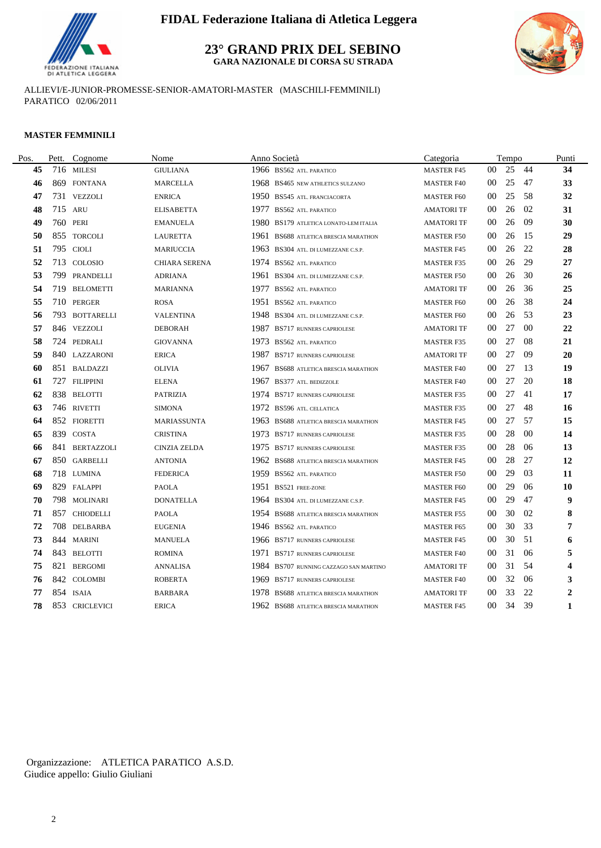

**23° GRAND PRIX DEL SEBINO**

**GARA NAZIONALE DI CORSA SU STRADA**



ALLIEVI/E-JUNIOR-PROMESSE-SENIOR-AMATORI-MASTER (MASCHILI-FEMMINILI) PARATICO 02/06/2011

#### **MASTER FEMMINILI**

| Pett. | Cognome        | Nome                                                                                                                                                                                                                                                                                                                                                                                                                                                                                                                  | Anno Società                             | Categoria         |        |    |                | Punti                                     |
|-------|----------------|-----------------------------------------------------------------------------------------------------------------------------------------------------------------------------------------------------------------------------------------------------------------------------------------------------------------------------------------------------------------------------------------------------------------------------------------------------------------------------------------------------------------------|------------------------------------------|-------------------|--------|----|----------------|-------------------------------------------|
|       |                | <b>GIULIANA</b>                                                                                                                                                                                                                                                                                                                                                                                                                                                                                                       | 1966 BS562 ATL. PARATICO                 | <b>MASTER F45</b> | $00\,$ | 25 |                | 34                                        |
|       |                | <b>MARCELLA</b>                                                                                                                                                                                                                                                                                                                                                                                                                                                                                                       | 1968 BS465 NEW ATHLETICS SULZANO         | <b>MASTER F40</b> | 00     | 25 | 47             | 33                                        |
|       |                | <b>ENRICA</b>                                                                                                                                                                                                                                                                                                                                                                                                                                                                                                         | 1950 BS545 ATL. FRANCIACORTA             | <b>MASTER F60</b> | 00     | 25 | -58            | 32                                        |
|       |                | <b>ELISABETTA</b>                                                                                                                                                                                                                                                                                                                                                                                                                                                                                                     | 1977 BS562 ATL. PARATICO                 | <b>AMATORI TF</b> | 00     | 26 | 02             | 31                                        |
|       |                | <b>EMANUELA</b>                                                                                                                                                                                                                                                                                                                                                                                                                                                                                                       | 1980<br>BS179 ATLETICA LONATO-LEM ITALIA | AMATORI TF        | 00     | 26 | 09             | 30                                        |
|       |                | <b>LAURETTA</b>                                                                                                                                                                                                                                                                                                                                                                                                                                                                                                       | 1961 BS688 ATLETICA BRESCIA MARATHON     | <b>MASTER F50</b> | 00     | 26 |                | 29                                        |
|       |                | <b>MARIUCCIA</b>                                                                                                                                                                                                                                                                                                                                                                                                                                                                                                      | 1963 BS304 ATL. DI LUMEZZANE C.S.P.      | <b>MASTER F45</b> | 00     | 26 | 22             | 28                                        |
|       |                | <b>CHIARA SERENA</b>                                                                                                                                                                                                                                                                                                                                                                                                                                                                                                  | 1974 BS562 ATL. PARATICO                 | <b>MASTER F35</b> | 00     | 26 | 29             | 27                                        |
|       |                | <b>ADRIANA</b>                                                                                                                                                                                                                                                                                                                                                                                                                                                                                                        | 1961 BS304 ATL. DI LUMEZZANE C.S.P.      | <b>MASTER F50</b> | 00     | 26 | 30             | 26                                        |
| 719   |                | <b>MARIANNA</b>                                                                                                                                                                                                                                                                                                                                                                                                                                                                                                       | 1977 BS562 ATL. PARATICO                 | <b>AMATORI TF</b> | 00     | 26 | 36             | 25                                        |
|       |                | <b>ROSA</b>                                                                                                                                                                                                                                                                                                                                                                                                                                                                                                           | 1951 BS562 ATL. PARATICO                 | <b>MASTER F60</b> | 00     | 26 | 38             | 24                                        |
|       |                | <b>VALENTINA</b>                                                                                                                                                                                                                                                                                                                                                                                                                                                                                                      | 1948 BS304 ATL. DI LUMEZZANE C.S.P.      | <b>MASTER F60</b> | 00     | 26 | 53             | 23                                        |
|       |                | <b>DEBORAH</b>                                                                                                                                                                                                                                                                                                                                                                                                                                                                                                        | 1987 BS717 RUNNERS CAPRIOLESE            | AMATORI TF        | 00     | 27 | 0 <sup>0</sup> | 22                                        |
|       |                | <b>GIOVANNA</b>                                                                                                                                                                                                                                                                                                                                                                                                                                                                                                       | 1973 BS562 ATL. PARATICO                 | <b>MASTER F35</b> | 00     | 27 | -08            | 21                                        |
|       |                | <b>ERICA</b>                                                                                                                                                                                                                                                                                                                                                                                                                                                                                                          | 1987 BS717 RUNNERS CAPRIOLESE            | <b>AMATORI TF</b> | 00     | 27 | -09            | 20                                        |
|       |                | <b>OLIVIA</b>                                                                                                                                                                                                                                                                                                                                                                                                                                                                                                         | 1967<br>BS688 ATLETICA BRESCIA MARATHON  | <b>MASTER F40</b> | 00     | 27 |                | 19                                        |
|       |                | <b>ELENA</b>                                                                                                                                                                                                                                                                                                                                                                                                                                                                                                          | 1967 BS377 ATL. BEDIZZOLE                | <b>MASTER F40</b> | 00     | 27 | 20             | 18                                        |
|       |                | <b>PATRIZIA</b>                                                                                                                                                                                                                                                                                                                                                                                                                                                                                                       | 1974 BS717 RUNNERS CAPRIOLESE            | <b>MASTER F35</b> | 00     | 27 | 41             | 17                                        |
|       |                | <b>SIMONA</b>                                                                                                                                                                                                                                                                                                                                                                                                                                                                                                         | 1972 BS596 ATL. CELLATICA                | <b>MASTER F35</b> | 00     | 27 | -48            | 16                                        |
|       |                | MARIASSUNTA                                                                                                                                                                                                                                                                                                                                                                                                                                                                                                           | 1963 BS688 ATLETICA BRESCIA MARATHON     | <b>MASTER F45</b> | 00     | 27 |                | 15                                        |
|       |                | <b>CRISTINA</b>                                                                                                                                                                                                                                                                                                                                                                                                                                                                                                       | 1973 BS717 RUNNERS CAPRIOLESE            | <b>MASTER F35</b> | 00     | 28 | -00            | 14                                        |
|       |                | <b>CINZIA ZELDA</b>                                                                                                                                                                                                                                                                                                                                                                                                                                                                                                   | 1975 BS717 RUNNERS CAPRIOLESE            | <b>MASTER F35</b> | 00     | 28 | 06             | 13                                        |
|       |                | <b>ANTONIA</b>                                                                                                                                                                                                                                                                                                                                                                                                                                                                                                        | 1962 BS688 ATLETICA BRESCIA MARATHON     | <b>MASTER F45</b> | 00     | 28 | 27             | 12                                        |
|       |                | <b>FEDERICA</b>                                                                                                                                                                                                                                                                                                                                                                                                                                                                                                       | 1959 BS562 ATL. PARATICO                 | <b>MASTER F50</b> | 00     | 29 | 03             | 11                                        |
|       |                | <b>PAOLA</b>                                                                                                                                                                                                                                                                                                                                                                                                                                                                                                          | 1951 BS521 FREE-ZONE                     | <b>MASTER F60</b> | 00     | 29 | 06             | 10                                        |
|       |                | <b>DONATELLA</b>                                                                                                                                                                                                                                                                                                                                                                                                                                                                                                      | 1964 BS304 ATL. DI LUMEZZANE C.S.P.      | <b>MASTER F45</b> | 00     | 29 | 47             | 9                                         |
|       |                | <b>PAOLA</b>                                                                                                                                                                                                                                                                                                                                                                                                                                                                                                          | 1954 BS688 ATLETICA BRESCIA MARATHON     | <b>MASTER F55</b> | 00     | 30 | 02             | 8                                         |
|       |                | <b>EUGENIA</b>                                                                                                                                                                                                                                                                                                                                                                                                                                                                                                        | 1946 BS562 ATL. PARATICO                 | <b>MASTER F65</b> | 00     | 30 | 33             | 7                                         |
|       |                | <b>MANUELA</b>                                                                                                                                                                                                                                                                                                                                                                                                                                                                                                        | 1966 BS717 RUNNERS CAPRIOLESE            | <b>MASTER F45</b> | 00     | 30 |                | 6                                         |
|       |                | <b>ROMINA</b>                                                                                                                                                                                                                                                                                                                                                                                                                                                                                                         | 1971 BS717 RUNNERS CAPRIOLESE            | <b>MASTER F40</b> | 00     | 31 | 06             | 5                                         |
| 821   | <b>BERGOMI</b> | <b>ANNALISA</b>                                                                                                                                                                                                                                                                                                                                                                                                                                                                                                       | 1984 BS707 RUNNING CAZZAGO SAN MARTINO   | <b>AMATORI TF</b> | 00     | 31 | 54             | 4                                         |
|       |                | <b>ROBERTA</b>                                                                                                                                                                                                                                                                                                                                                                                                                                                                                                        | 1969 BS717 RUNNERS CAPRIOLESE            | <b>MASTER F40</b> | 00     | 32 | 06             | 3                                         |
|       |                | <b>BARBARA</b>                                                                                                                                                                                                                                                                                                                                                                                                                                                                                                        | 1978 BS688 ATLETICA BRESCIA MARATHON     | <b>AMATORI TF</b> | 00     | 33 | 22             | $\mathbf{2}$                              |
|       |                | <b>ERICA</b>                                                                                                                                                                                                                                                                                                                                                                                                                                                                                                          | 1962 BS688 ATLETICA BRESCIA MARATHON     | <b>MASTER F45</b> | 00     | 34 | 39             | $\mathbf{1}$                              |
|       |                | 716 MILESI<br>869 FONTANA<br>731 VEZZOLI<br>715 ARU<br>760 PERI<br>855 TORCOLI<br>795 CIOLI<br>713 COLOSIO<br>799 PRANDELLI<br><b>BELOMETTI</b><br>710 PERGER<br>793 BOTTARELLI<br>846 VEZZOLI<br>724 PEDRALI<br>840 LAZZARONI<br>851 BALDAZZI<br>727 FILIPPINI<br>838 BELOTTI<br>746 RIVETTI<br>852 FIORETTI<br>839 COSTA<br>841 BERTAZZOLI<br>850 GARBELLI<br>718 LUMINA<br>829 FALAPPI<br>798 MOLINARI<br>857 CHIODELLI<br>708 DELBARBA<br>844 MARINI<br>843 BELOTTI<br>842 COLOMBI<br>854 ISAIA<br>853 CRICLEVICI |                                          |                   |        |    |                | Tempo<br>-44<br>-15<br>-13<br>- 57<br>-51 |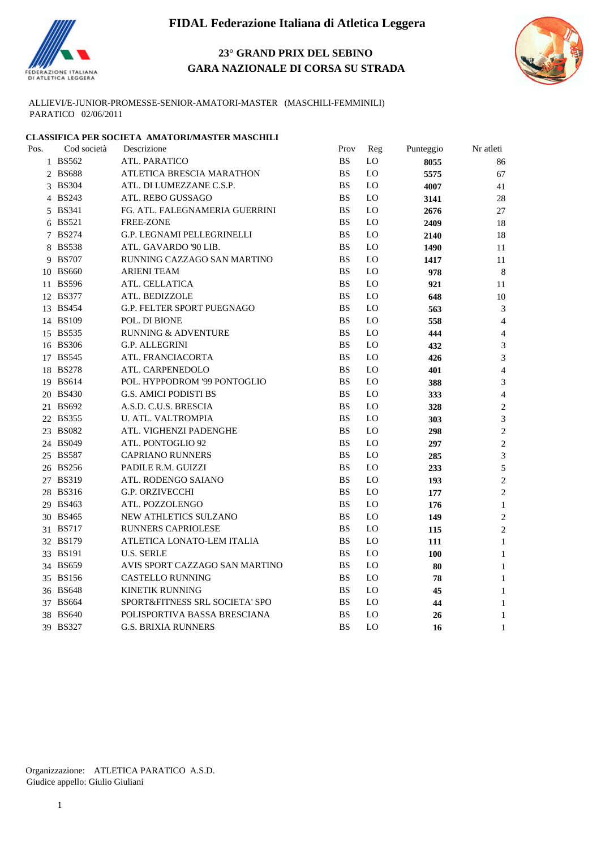

## **23° GRAND PRIX DEL SEBINO GARA NAZIONALE DI CORSA SU STRADA**



ALLIEVI/E-JUNIOR-PROMESSE-SENIOR-AMATORI-MASTER (MASCHILI-FEMMINILI) PARATICO 02/06/2011

# **CLASSIFICA PER SOCIETA AMATORI/MASTER MASCHILI**<br>Pos. Cod società Descrizione

| Pos. | Cod società | Descrizione                       | Prov                   | Reg            | Punteggio | Nr atleti      |  |
|------|-------------|-----------------------------------|------------------------|----------------|-----------|----------------|--|
|      | 1 BS562     | ATL. PARATICO                     | <b>BS</b>              | LO             | 8055      | 86             |  |
|      | 2 BS688     | ATLETICA BRESCIA MARATHON         | <b>BS</b>              | $\rm LO$       | 5575      | 67             |  |
|      | 3 BS304     | ATL. DI LUMEZZANE C.S.P.          | <b>BS</b>              | LO             | 4007      | 41             |  |
|      | 4 BS243     | ATL. REBO GUSSAGO                 | <b>BS</b>              | LO             | 3141      | 28             |  |
|      | 5 BS341     | FG. ATL. FALEGNAMERIA GUERRINI    | <b>BS</b>              | LO             | 2676      | 27             |  |
|      | 6 BS521     | FREE-ZONE                         | <b>BS</b>              | LO             | 2409      | 18             |  |
|      | 7 BS274     | G.P. LEGNAMI PELLEGRINELLI        | <b>BS</b>              | LO             | 2140      | 18             |  |
|      | 8 BS538     | ATL. GAVARDO '90 LIB.             | <b>BS</b>              | LO             | 1490      | 11             |  |
|      | 9 BS707     | RUNNING CAZZAGO SAN MARTINO       | <b>BS</b>              | LO             | 1417      | 11             |  |
|      | 10 BS660    | ARIENI TEAM                       | <b>BS</b>              | LO             | 978       | 8              |  |
|      | 11 BS596    | ATL. CELLATICA                    | <b>BS</b>              | LO             | 921       | 11             |  |
|      | 12 BS377    | ATL. BEDIZZOLE                    | <b>BS</b>              | L <sub>0</sub> | 648       | 10             |  |
|      | 13 BS454    | <b>G.P. FELTER SPORT PUEGNAGO</b> | <b>BS</b>              | LO             | 563       | 3              |  |
|      | 14 BS109    | POL. DI BIONE                     | <b>BS</b>              | LO             | 558       | $\overline{4}$ |  |
|      | 15 BS535    | <b>RUNNING &amp; ADVENTURE</b>    | <b>BS</b>              | L <sub>0</sub> | 444       | 4              |  |
|      | 16 BS306    | G.P. ALLEGRINI                    | <b>BS</b>              | L <sub>0</sub> | 432       | 3              |  |
|      | 17 BS545    | ATL. FRANCIACORTA                 | <b>BS</b>              | LO             | 426       | 3              |  |
|      | 18 BS278    | ATL. CARPENEDOLO                  | <b>BS</b>              | LO             | 401       | $\overline{4}$ |  |
|      | 19 BS614    | POL. HYPPODROM '99 PONTOGLIO      | <b>BS</b>              | L <sub>0</sub> | 388       | 3              |  |
|      | 20 BS430    | <b>G.S. AMICI PODISTI BS</b>      | <b>BS</b>              | L <sub>0</sub> | 333       | $\overline{4}$ |  |
|      | 21 BS692    | A.S.D. C.U.S. BRESCIA             | <b>BS</b>              | LO             | 328       | $\overline{c}$ |  |
|      | 22 BS355    | U. ATL. VALTROMPIA                | <b>BS</b>              | LO             | 303       | 3              |  |
|      | 23 BS082    | ATL. VIGHENZI PADENGHE            | <b>BS</b>              | L <sub>0</sub> | 298       | $\overline{c}$ |  |
|      | 24 BS049    | ATL. PONTOGLIO 92                 | <b>BS</b>              | LO             | 297       | $\overline{c}$ |  |
|      | 25 BS587    | <b>CAPRIANO RUNNERS</b>           | <b>BS</b>              | LO             | 285       | 3              |  |
|      | 26 BS256    | PADILE R.M. GUIZZI                | <b>BS</b>              | LO             | 233       | 5              |  |
|      | 27 BS319    | ATL. RODENGO SAIANO               | <b>BS</b>              | LO             | 193       | $\overline{2}$ |  |
|      | 28 BS316    | <b>G.P. ORZIVECCHI</b>            | <b>BS</b>              | LO             | 177       | 2              |  |
|      | 29 BS463    | ATL. POZZOLENGO                   | <b>BS</b>              | LO             | 176       | $\mathbf{1}$   |  |
|      | 30 BS465    | NEW ATHLETICS SULZANO             | <b>BS</b>              | LO             | 149       | 2              |  |
|      | 31 BS717    | <b>RUNNERS CAPRIOLESE</b>         | <b>BS</b>              | LO             | 115       | $\overline{2}$ |  |
|      | 32 BS179    | ATLETICA LONATO-LEM ITALIA        | <b>BS</b>              | LO             | 111       | $\mathbf{1}$   |  |
|      | 33 BS191    | <b>U.S. SERLE</b>                 | <b>BS</b>              | LO             | 100       | $\mathbf{1}$   |  |
|      | 34 BS659    | AVIS SPORT CAZZAGO SAN MARTINO    | <b>BS</b>              | L <sub>0</sub> | 80        | 1              |  |
|      | 35 BS156    | <b>CASTELLO RUNNING</b>           | <b>BS</b>              | L <sub>0</sub> | 78        | $\mathbf{1}$   |  |
|      | 36 BS648    | <b>KINETIK RUNNING</b>            | <b>BS</b>              | LO             | 45        | $\mathbf{1}$   |  |
|      | 37 BS664    | SPORT&FITNESS SRL SOCIETA' SPO    | <b>BS</b>              | L <sub>O</sub> | 44        | 1              |  |
|      | 38 BS640    | POLISPORTIVA BASSA BRESCIANA      | $\mathbf{B}\mathbf{S}$ | L <sub>O</sub> | 26        | 1              |  |
|      | 39 BS327    | <b>G.S. BRIXIA RUNNERS</b>        | <b>BS</b>              | LO             | 16        | 1              |  |